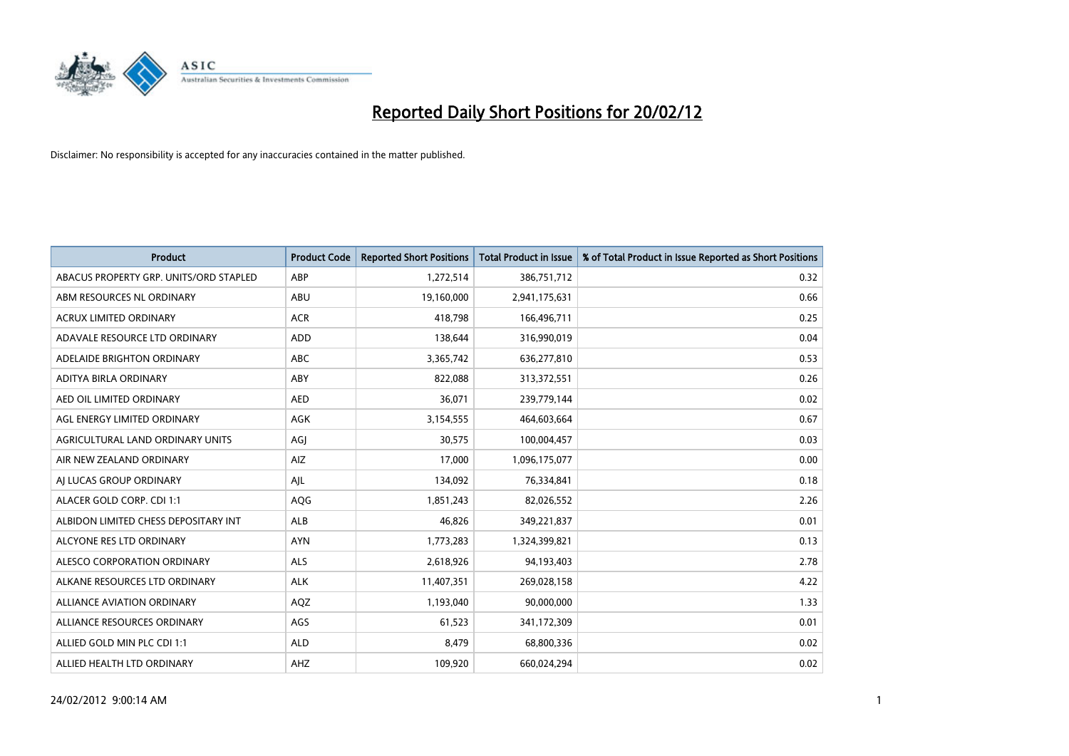

| <b>Product</b>                         | <b>Product Code</b> | <b>Reported Short Positions</b> | <b>Total Product in Issue</b> | % of Total Product in Issue Reported as Short Positions |
|----------------------------------------|---------------------|---------------------------------|-------------------------------|---------------------------------------------------------|
| ABACUS PROPERTY GRP. UNITS/ORD STAPLED | ABP                 | 1,272,514                       | 386,751,712                   | 0.32                                                    |
| ABM RESOURCES NL ORDINARY              | ABU                 | 19,160,000                      | 2,941,175,631                 | 0.66                                                    |
| <b>ACRUX LIMITED ORDINARY</b>          | <b>ACR</b>          | 418,798                         | 166,496,711                   | 0.25                                                    |
| ADAVALE RESOURCE LTD ORDINARY          | <b>ADD</b>          | 138,644                         | 316,990,019                   | 0.04                                                    |
| ADELAIDE BRIGHTON ORDINARY             | <b>ABC</b>          | 3,365,742                       | 636,277,810                   | 0.53                                                    |
| ADITYA BIRLA ORDINARY                  | ABY                 | 822,088                         | 313,372,551                   | 0.26                                                    |
| AED OIL LIMITED ORDINARY               | <b>AED</b>          | 36,071                          | 239,779,144                   | 0.02                                                    |
| AGL ENERGY LIMITED ORDINARY            | AGK                 | 3,154,555                       | 464,603,664                   | 0.67                                                    |
| AGRICULTURAL LAND ORDINARY UNITS       | AGJ                 | 30,575                          | 100,004,457                   | 0.03                                                    |
| AIR NEW ZEALAND ORDINARY               | <b>AIZ</b>          | 17,000                          | 1,096,175,077                 | 0.00                                                    |
| AI LUCAS GROUP ORDINARY                | AJL                 | 134,092                         | 76,334,841                    | 0.18                                                    |
| ALACER GOLD CORP. CDI 1:1              | AQG                 | 1,851,243                       | 82,026,552                    | 2.26                                                    |
| ALBIDON LIMITED CHESS DEPOSITARY INT   | ALB                 | 46,826                          | 349,221,837                   | 0.01                                                    |
| ALCYONE RES LTD ORDINARY               | <b>AYN</b>          | 1,773,283                       | 1,324,399,821                 | 0.13                                                    |
| ALESCO CORPORATION ORDINARY            | <b>ALS</b>          | 2,618,926                       | 94,193,403                    | 2.78                                                    |
| ALKANE RESOURCES LTD ORDINARY          | <b>ALK</b>          | 11,407,351                      | 269,028,158                   | 4.22                                                    |
| ALLIANCE AVIATION ORDINARY             | AQZ                 | 1,193,040                       | 90,000,000                    | 1.33                                                    |
| ALLIANCE RESOURCES ORDINARY            | AGS                 | 61,523                          | 341,172,309                   | 0.01                                                    |
| ALLIED GOLD MIN PLC CDI 1:1            | <b>ALD</b>          | 8,479                           | 68,800,336                    | 0.02                                                    |
| ALLIED HEALTH LTD ORDINARY             | AHZ                 | 109,920                         | 660,024,294                   | 0.02                                                    |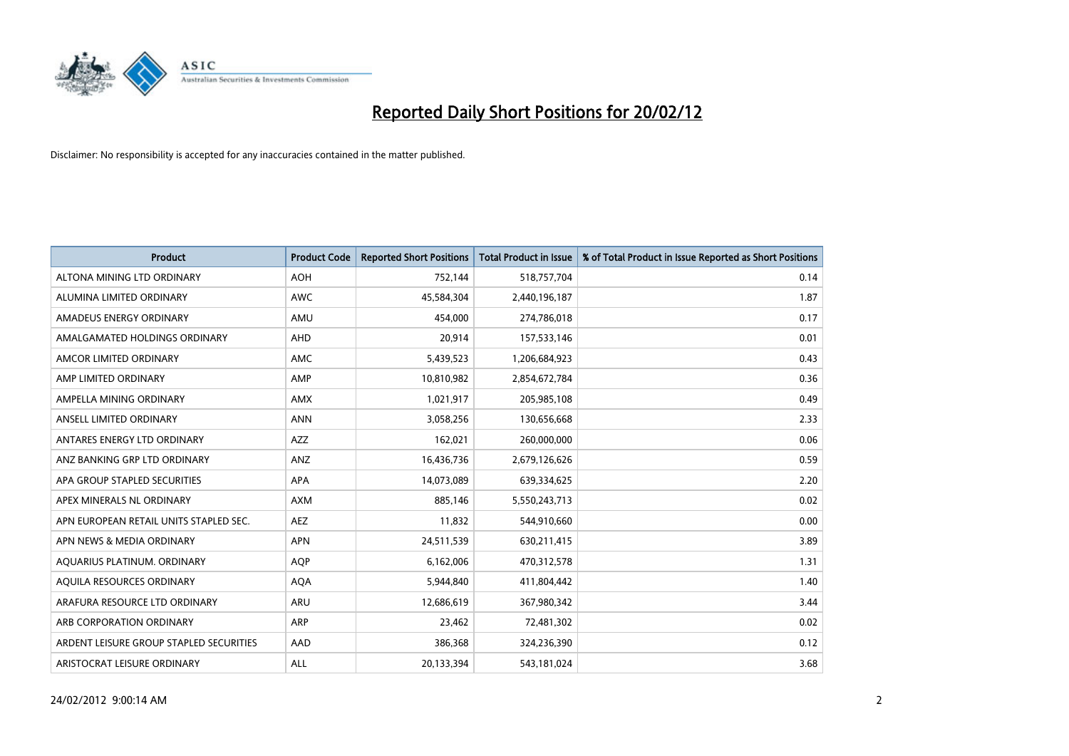

| <b>Product</b>                          | <b>Product Code</b> | <b>Reported Short Positions</b> | <b>Total Product in Issue</b> | % of Total Product in Issue Reported as Short Positions |
|-----------------------------------------|---------------------|---------------------------------|-------------------------------|---------------------------------------------------------|
| ALTONA MINING LTD ORDINARY              | <b>AOH</b>          | 752,144                         | 518,757,704                   | 0.14                                                    |
| ALUMINA LIMITED ORDINARY                | <b>AWC</b>          | 45,584,304                      | 2,440,196,187                 | 1.87                                                    |
| AMADEUS ENERGY ORDINARY                 | AMU                 | 454,000                         | 274,786,018                   | 0.17                                                    |
| AMALGAMATED HOLDINGS ORDINARY           | AHD                 | 20,914                          | 157,533,146                   | 0.01                                                    |
| AMCOR LIMITED ORDINARY                  | AMC                 | 5,439,523                       | 1,206,684,923                 | 0.43                                                    |
| AMP LIMITED ORDINARY                    | AMP                 | 10,810,982                      | 2,854,672,784                 | 0.36                                                    |
| AMPELLA MINING ORDINARY                 | <b>AMX</b>          | 1,021,917                       | 205,985,108                   | 0.49                                                    |
| ANSELL LIMITED ORDINARY                 | <b>ANN</b>          | 3,058,256                       | 130,656,668                   | 2.33                                                    |
| ANTARES ENERGY LTD ORDINARY             | AZZ                 | 162,021                         | 260,000,000                   | 0.06                                                    |
| ANZ BANKING GRP LTD ORDINARY            | ANZ                 | 16,436,736                      | 2,679,126,626                 | 0.59                                                    |
| APA GROUP STAPLED SECURITIES            | APA                 | 14,073,089                      | 639,334,625                   | 2.20                                                    |
| APEX MINERALS NL ORDINARY               | <b>AXM</b>          | 885,146                         | 5,550,243,713                 | 0.02                                                    |
| APN EUROPEAN RETAIL UNITS STAPLED SEC.  | <b>AEZ</b>          | 11,832                          | 544,910,660                   | 0.00                                                    |
| APN NEWS & MEDIA ORDINARY               | <b>APN</b>          | 24,511,539                      | 630,211,415                   | 3.89                                                    |
| AQUARIUS PLATINUM. ORDINARY             | <b>AOP</b>          | 6,162,006                       | 470,312,578                   | 1.31                                                    |
| AQUILA RESOURCES ORDINARY               | <b>AQA</b>          | 5,944,840                       | 411,804,442                   | 1.40                                                    |
| ARAFURA RESOURCE LTD ORDINARY           | ARU                 | 12,686,619                      | 367,980,342                   | 3.44                                                    |
| ARB CORPORATION ORDINARY                | ARP                 | 23,462                          | 72,481,302                    | 0.02                                                    |
| ARDENT LEISURE GROUP STAPLED SECURITIES | AAD                 | 386,368                         | 324,236,390                   | 0.12                                                    |
| ARISTOCRAT LEISURE ORDINARY             | ALL                 | 20,133,394                      | 543,181,024                   | 3.68                                                    |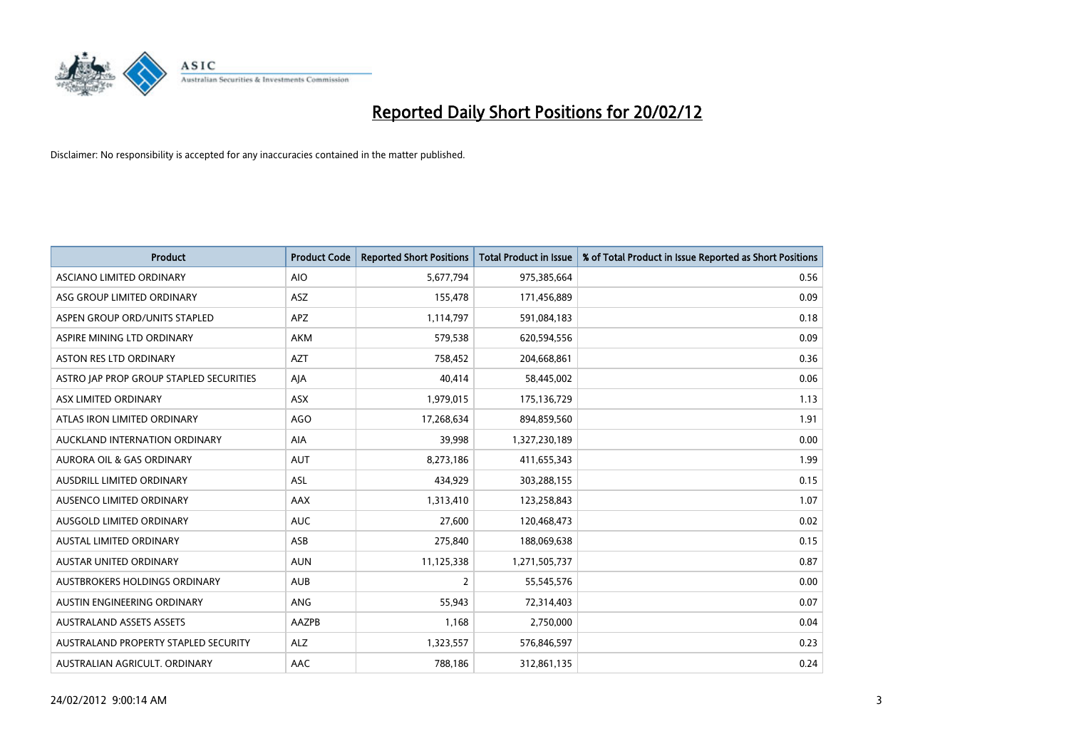

| <b>Product</b>                          | <b>Product Code</b> | <b>Reported Short Positions</b> | <b>Total Product in Issue</b> | % of Total Product in Issue Reported as Short Positions |
|-----------------------------------------|---------------------|---------------------------------|-------------------------------|---------------------------------------------------------|
| ASCIANO LIMITED ORDINARY                | <b>AIO</b>          | 5,677,794                       | 975,385,664                   | 0.56                                                    |
| ASG GROUP LIMITED ORDINARY              | ASZ                 | 155,478                         | 171,456,889                   | 0.09                                                    |
| ASPEN GROUP ORD/UNITS STAPLED           | APZ                 | 1,114,797                       | 591,084,183                   | 0.18                                                    |
| ASPIRE MINING LTD ORDINARY              | <b>AKM</b>          | 579,538                         | 620,594,556                   | 0.09                                                    |
| <b>ASTON RES LTD ORDINARY</b>           | <b>AZT</b>          | 758,452                         | 204,668,861                   | 0.36                                                    |
| ASTRO JAP PROP GROUP STAPLED SECURITIES | AJA                 | 40,414                          | 58,445,002                    | 0.06                                                    |
| ASX LIMITED ORDINARY                    | ASX                 | 1,979,015                       | 175,136,729                   | 1.13                                                    |
| ATLAS IRON LIMITED ORDINARY             | <b>AGO</b>          | 17,268,634                      | 894,859,560                   | 1.91                                                    |
| AUCKLAND INTERNATION ORDINARY           | AIA                 | 39,998                          | 1,327,230,189                 | 0.00                                                    |
| <b>AURORA OIL &amp; GAS ORDINARY</b>    | <b>AUT</b>          | 8,273,186                       | 411,655,343                   | 1.99                                                    |
| AUSDRILL LIMITED ORDINARY               | <b>ASL</b>          | 434,929                         | 303,288,155                   | 0.15                                                    |
| AUSENCO LIMITED ORDINARY                | AAX                 | 1,313,410                       | 123,258,843                   | 1.07                                                    |
| AUSGOLD LIMITED ORDINARY                | <b>AUC</b>          | 27,600                          | 120,468,473                   | 0.02                                                    |
| <b>AUSTAL LIMITED ORDINARY</b>          | ASB                 | 275,840                         | 188,069,638                   | 0.15                                                    |
| <b>AUSTAR UNITED ORDINARY</b>           | <b>AUN</b>          | 11,125,338                      | 1,271,505,737                 | 0.87                                                    |
| AUSTBROKERS HOLDINGS ORDINARY           | <b>AUB</b>          | 2                               | 55,545,576                    | 0.00                                                    |
| AUSTIN ENGINEERING ORDINARY             | ANG                 | 55,943                          | 72,314,403                    | 0.07                                                    |
| <b>AUSTRALAND ASSETS ASSETS</b>         | AAZPB               | 1,168                           | 2,750,000                     | 0.04                                                    |
| AUSTRALAND PROPERTY STAPLED SECURITY    | <b>ALZ</b>          | 1,323,557                       | 576,846,597                   | 0.23                                                    |
| AUSTRALIAN AGRICULT. ORDINARY           | AAC                 | 788,186                         | 312,861,135                   | 0.24                                                    |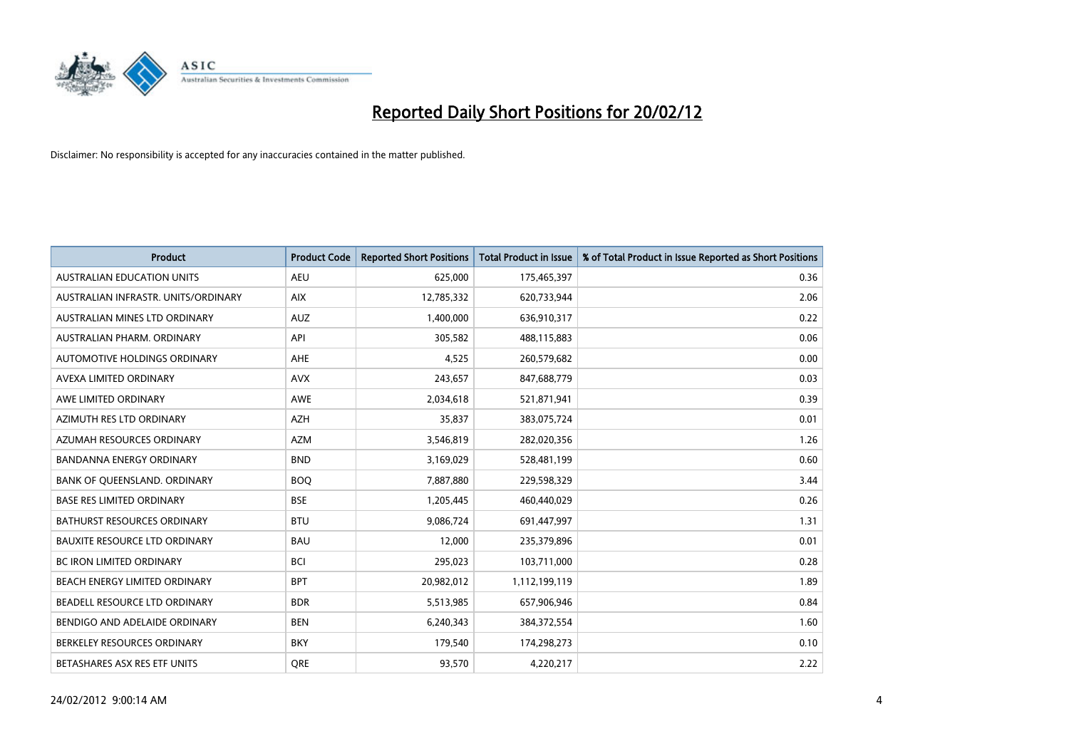

| <b>Product</b>                       | <b>Product Code</b> | <b>Reported Short Positions</b> | <b>Total Product in Issue</b> | % of Total Product in Issue Reported as Short Positions |
|--------------------------------------|---------------------|---------------------------------|-------------------------------|---------------------------------------------------------|
| <b>AUSTRALIAN EDUCATION UNITS</b>    | <b>AEU</b>          | 625,000                         | 175,465,397                   | 0.36                                                    |
| AUSTRALIAN INFRASTR, UNITS/ORDINARY  | <b>AIX</b>          | 12,785,332                      | 620,733,944                   | 2.06                                                    |
| AUSTRALIAN MINES LTD ORDINARY        | <b>AUZ</b>          | 1,400,000                       | 636,910,317                   | 0.22                                                    |
| AUSTRALIAN PHARM. ORDINARY           | API                 | 305,582                         | 488,115,883                   | 0.06                                                    |
| AUTOMOTIVE HOLDINGS ORDINARY         | AHE                 | 4,525                           | 260,579,682                   | 0.00                                                    |
| AVEXA LIMITED ORDINARY               | <b>AVX</b>          | 243,657                         | 847,688,779                   | 0.03                                                    |
| AWE LIMITED ORDINARY                 | <b>AWE</b>          | 2,034,618                       | 521,871,941                   | 0.39                                                    |
| AZIMUTH RES LTD ORDINARY             | <b>AZH</b>          | 35,837                          | 383,075,724                   | 0.01                                                    |
| AZUMAH RESOURCES ORDINARY            | <b>AZM</b>          | 3,546,819                       | 282,020,356                   | 1.26                                                    |
| <b>BANDANNA ENERGY ORDINARY</b>      | <b>BND</b>          | 3,169,029                       | 528,481,199                   | 0.60                                                    |
| BANK OF QUEENSLAND. ORDINARY         | <b>BOQ</b>          | 7,887,880                       | 229,598,329                   | 3.44                                                    |
| <b>BASE RES LIMITED ORDINARY</b>     | <b>BSE</b>          | 1,205,445                       | 460,440,029                   | 0.26                                                    |
| BATHURST RESOURCES ORDINARY          | <b>BTU</b>          | 9,086,724                       | 691,447,997                   | 1.31                                                    |
| <b>BAUXITE RESOURCE LTD ORDINARY</b> | <b>BAU</b>          | 12,000                          | 235,379,896                   | 0.01                                                    |
| <b>BC IRON LIMITED ORDINARY</b>      | <b>BCI</b>          | 295,023                         | 103,711,000                   | 0.28                                                    |
| BEACH ENERGY LIMITED ORDINARY        | <b>BPT</b>          | 20,982,012                      | 1,112,199,119                 | 1.89                                                    |
| BEADELL RESOURCE LTD ORDINARY        | <b>BDR</b>          | 5,513,985                       | 657,906,946                   | 0.84                                                    |
| BENDIGO AND ADELAIDE ORDINARY        | <b>BEN</b>          | 6,240,343                       | 384, 372, 554                 | 1.60                                                    |
| BERKELEY RESOURCES ORDINARY          | <b>BKY</b>          | 179,540                         | 174,298,273                   | 0.10                                                    |
| BETASHARES ASX RES ETF UNITS         | <b>ORE</b>          | 93,570                          | 4,220,217                     | 2.22                                                    |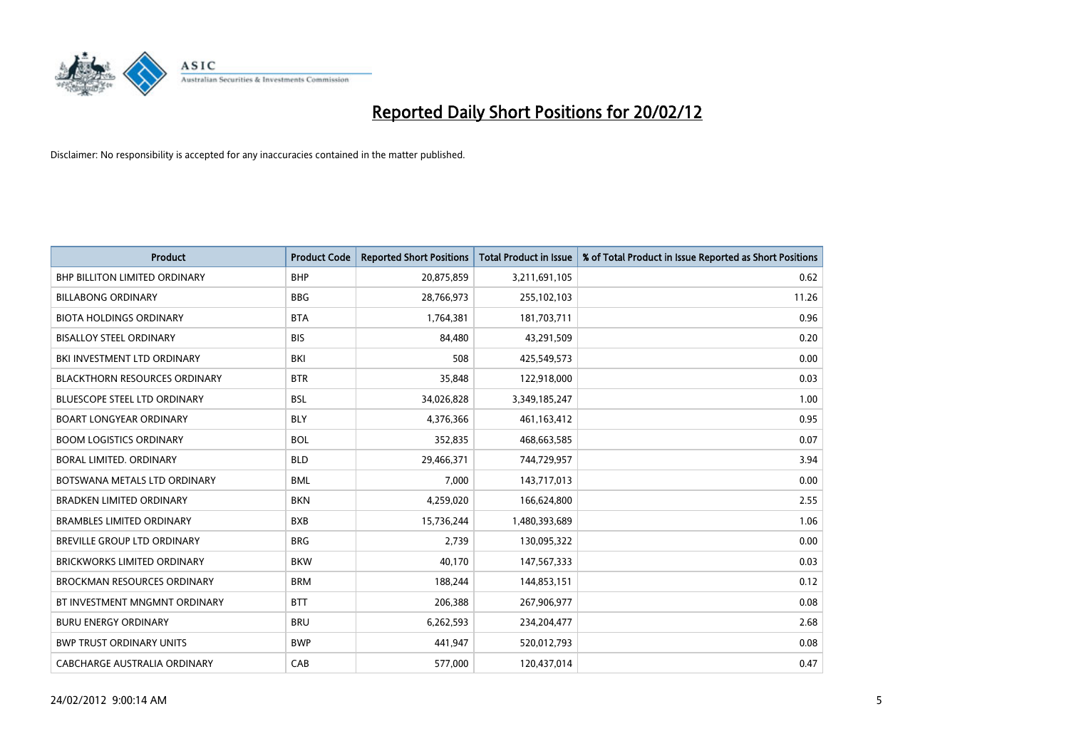

| <b>Product</b>                       | <b>Product Code</b> | <b>Reported Short Positions</b> | <b>Total Product in Issue</b> | % of Total Product in Issue Reported as Short Positions |
|--------------------------------------|---------------------|---------------------------------|-------------------------------|---------------------------------------------------------|
| <b>BHP BILLITON LIMITED ORDINARY</b> | <b>BHP</b>          | 20,875,859                      | 3,211,691,105                 | 0.62                                                    |
| <b>BILLABONG ORDINARY</b>            | <b>BBG</b>          | 28,766,973                      | 255,102,103                   | 11.26                                                   |
| <b>BIOTA HOLDINGS ORDINARY</b>       | <b>BTA</b>          | 1,764,381                       | 181,703,711                   | 0.96                                                    |
| <b>BISALLOY STEEL ORDINARY</b>       | <b>BIS</b>          | 84,480                          | 43,291,509                    | 0.20                                                    |
| BKI INVESTMENT LTD ORDINARY          | BKI                 | 508                             | 425,549,573                   | 0.00                                                    |
| <b>BLACKTHORN RESOURCES ORDINARY</b> | <b>BTR</b>          | 35,848                          | 122,918,000                   | 0.03                                                    |
| BLUESCOPE STEEL LTD ORDINARY         | <b>BSL</b>          | 34,026,828                      | 3,349,185,247                 | 1.00                                                    |
| <b>BOART LONGYEAR ORDINARY</b>       | <b>BLY</b>          | 4,376,366                       | 461,163,412                   | 0.95                                                    |
| <b>BOOM LOGISTICS ORDINARY</b>       | <b>BOL</b>          | 352,835                         | 468,663,585                   | 0.07                                                    |
| <b>BORAL LIMITED, ORDINARY</b>       | <b>BLD</b>          | 29,466,371                      | 744,729,957                   | 3.94                                                    |
| BOTSWANA METALS LTD ORDINARY         | <b>BML</b>          | 7,000                           | 143,717,013                   | 0.00                                                    |
| <b>BRADKEN LIMITED ORDINARY</b>      | <b>BKN</b>          | 4,259,020                       | 166,624,800                   | 2.55                                                    |
| <b>BRAMBLES LIMITED ORDINARY</b>     | <b>BXB</b>          | 15,736,244                      | 1,480,393,689                 | 1.06                                                    |
| <b>BREVILLE GROUP LTD ORDINARY</b>   | <b>BRG</b>          | 2,739                           | 130,095,322                   | 0.00                                                    |
| <b>BRICKWORKS LIMITED ORDINARY</b>   | <b>BKW</b>          | 40,170                          | 147,567,333                   | 0.03                                                    |
| <b>BROCKMAN RESOURCES ORDINARY</b>   | <b>BRM</b>          | 188,244                         | 144,853,151                   | 0.12                                                    |
| BT INVESTMENT MNGMNT ORDINARY        | <b>BTT</b>          | 206,388                         | 267,906,977                   | 0.08                                                    |
| <b>BURU ENERGY ORDINARY</b>          | <b>BRU</b>          | 6,262,593                       | 234,204,477                   | 2.68                                                    |
| <b>BWP TRUST ORDINARY UNITS</b>      | <b>BWP</b>          | 441,947                         | 520,012,793                   | 0.08                                                    |
| CABCHARGE AUSTRALIA ORDINARY         | CAB                 | 577,000                         | 120,437,014                   | 0.47                                                    |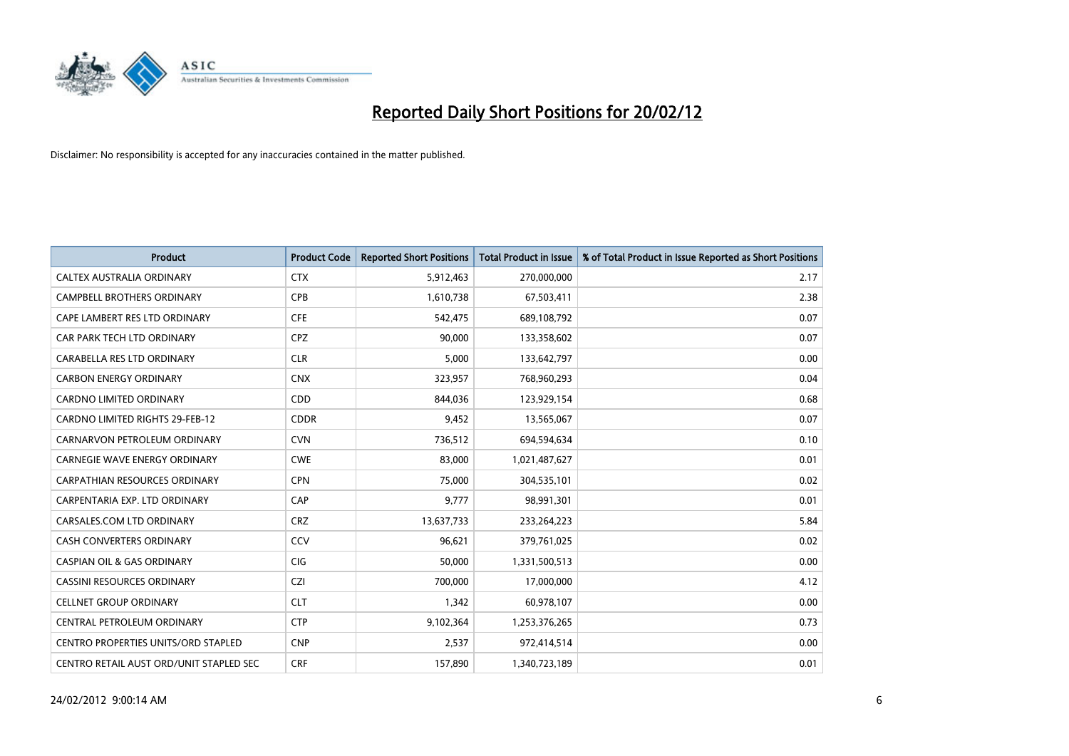

| <b>Product</b>                             | <b>Product Code</b> | <b>Reported Short Positions</b> | <b>Total Product in Issue</b> | % of Total Product in Issue Reported as Short Positions |
|--------------------------------------------|---------------------|---------------------------------|-------------------------------|---------------------------------------------------------|
| CALTEX AUSTRALIA ORDINARY                  | <b>CTX</b>          | 5,912,463                       | 270,000,000                   | 2.17                                                    |
| CAMPBELL BROTHERS ORDINARY                 | <b>CPB</b>          | 1,610,738                       | 67,503,411                    | 2.38                                                    |
| CAPE LAMBERT RES LTD ORDINARY              | <b>CFE</b>          | 542,475                         | 689,108,792                   | 0.07                                                    |
| CAR PARK TECH LTD ORDINARY                 | <b>CPZ</b>          | 90,000                          | 133,358,602                   | 0.07                                                    |
| CARABELLA RES LTD ORDINARY                 | <b>CLR</b>          | 5,000                           | 133,642,797                   | 0.00                                                    |
| <b>CARBON ENERGY ORDINARY</b>              | <b>CNX</b>          | 323,957                         | 768,960,293                   | 0.04                                                    |
| <b>CARDNO LIMITED ORDINARY</b>             | CDD                 | 844,036                         | 123,929,154                   | 0.68                                                    |
| <b>CARDNO LIMITED RIGHTS 29-FEB-12</b>     | <b>CDDR</b>         | 9,452                           | 13,565,067                    | 0.07                                                    |
| CARNARVON PETROLEUM ORDINARY               | <b>CVN</b>          | 736,512                         | 694,594,634                   | 0.10                                                    |
| <b>CARNEGIE WAVE ENERGY ORDINARY</b>       | <b>CWE</b>          | 83,000                          | 1,021,487,627                 | 0.01                                                    |
| CARPATHIAN RESOURCES ORDINARY              | <b>CPN</b>          | 75,000                          | 304,535,101                   | 0.02                                                    |
| CARPENTARIA EXP. LTD ORDINARY              | CAP                 | 9,777                           | 98,991,301                    | 0.01                                                    |
| CARSALES.COM LTD ORDINARY                  | <b>CRZ</b>          | 13,637,733                      | 233,264,223                   | 5.84                                                    |
| CASH CONVERTERS ORDINARY                   | CCV                 | 96,621                          | 379,761,025                   | 0.02                                                    |
| <b>CASPIAN OIL &amp; GAS ORDINARY</b>      | CIG                 | 50,000                          | 1,331,500,513                 | 0.00                                                    |
| CASSINI RESOURCES ORDINARY                 | <b>CZI</b>          | 700,000                         | 17,000,000                    | 4.12                                                    |
| <b>CELLNET GROUP ORDINARY</b>              | <b>CLT</b>          | 1,342                           | 60,978,107                    | 0.00                                                    |
| CENTRAL PETROLEUM ORDINARY                 | <b>CTP</b>          | 9,102,364                       | 1,253,376,265                 | 0.73                                                    |
| <b>CENTRO PROPERTIES UNITS/ORD STAPLED</b> | <b>CNP</b>          | 2,537                           | 972,414,514                   | 0.00                                                    |
| CENTRO RETAIL AUST ORD/UNIT STAPLED SEC    | <b>CRF</b>          | 157,890                         | 1,340,723,189                 | 0.01                                                    |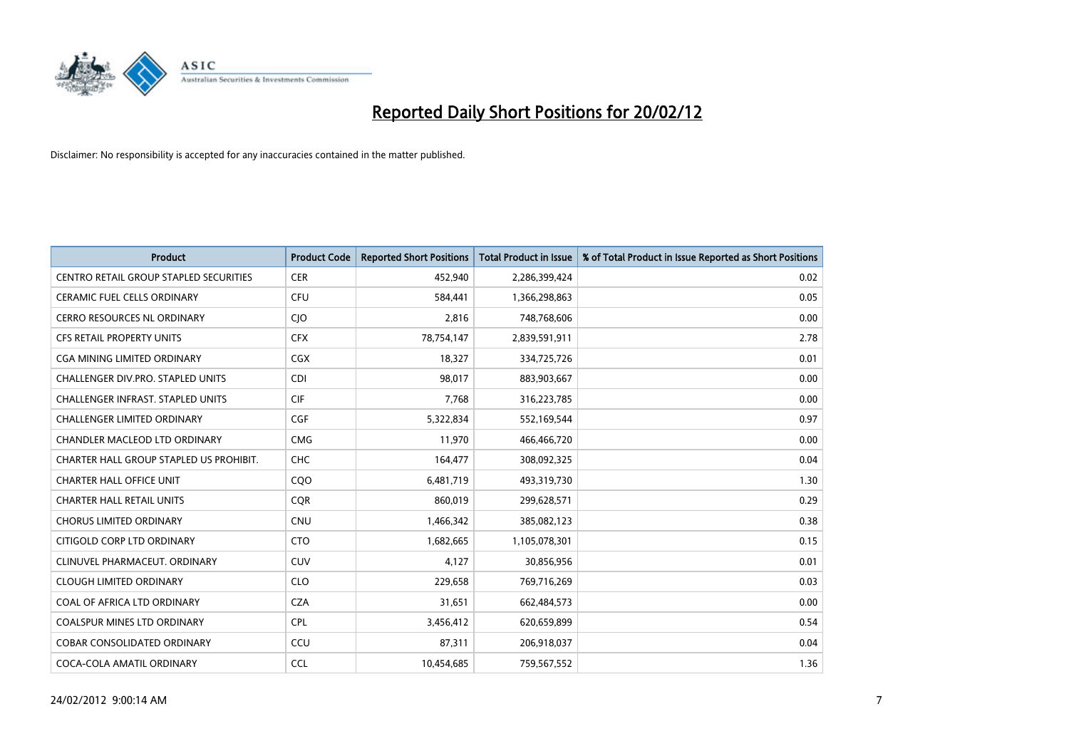

| <b>Product</b>                                | <b>Product Code</b> | <b>Reported Short Positions</b> | <b>Total Product in Issue</b> | % of Total Product in Issue Reported as Short Positions |
|-----------------------------------------------|---------------------|---------------------------------|-------------------------------|---------------------------------------------------------|
| <b>CENTRO RETAIL GROUP STAPLED SECURITIES</b> | <b>CER</b>          | 452,940                         | 2,286,399,424                 | 0.02                                                    |
| CERAMIC FUEL CELLS ORDINARY                   | <b>CFU</b>          | 584,441                         | 1,366,298,863                 | 0.05                                                    |
| <b>CERRO RESOURCES NL ORDINARY</b>            | CJO                 | 2,816                           | 748,768,606                   | 0.00                                                    |
| CFS RETAIL PROPERTY UNITS                     | <b>CFX</b>          | 78,754,147                      | 2,839,591,911                 | 2.78                                                    |
| <b>CGA MINING LIMITED ORDINARY</b>            | <b>CGX</b>          | 18,327                          | 334,725,726                   | 0.01                                                    |
| CHALLENGER DIV.PRO. STAPLED UNITS             | <b>CDI</b>          | 98,017                          | 883,903,667                   | 0.00                                                    |
| <b>CHALLENGER INFRAST, STAPLED UNITS</b>      | <b>CIF</b>          | 7,768                           | 316,223,785                   | 0.00                                                    |
| CHALLENGER LIMITED ORDINARY                   | <b>CGF</b>          | 5,322,834                       | 552,169,544                   | 0.97                                                    |
| CHANDLER MACLEOD LTD ORDINARY                 | <b>CMG</b>          | 11,970                          | 466,466,720                   | 0.00                                                    |
| CHARTER HALL GROUP STAPLED US PROHIBIT.       | <b>CHC</b>          | 164,477                         | 308,092,325                   | 0.04                                                    |
| <b>CHARTER HALL OFFICE UNIT</b>               | COO                 | 6,481,719                       | 493,319,730                   | 1.30                                                    |
| <b>CHARTER HALL RETAIL UNITS</b>              | <b>CQR</b>          | 860,019                         | 299,628,571                   | 0.29                                                    |
| <b>CHORUS LIMITED ORDINARY</b>                | <b>CNU</b>          | 1,466,342                       | 385,082,123                   | 0.38                                                    |
| CITIGOLD CORP LTD ORDINARY                    | <b>CTO</b>          | 1,682,665                       | 1,105,078,301                 | 0.15                                                    |
| CLINUVEL PHARMACEUT, ORDINARY                 | CUV                 | 4,127                           | 30,856,956                    | 0.01                                                    |
| <b>CLOUGH LIMITED ORDINARY</b>                | <b>CLO</b>          | 229,658                         | 769,716,269                   | 0.03                                                    |
| COAL OF AFRICA LTD ORDINARY                   | <b>CZA</b>          | 31,651                          | 662,484,573                   | 0.00                                                    |
| COALSPUR MINES LTD ORDINARY                   | <b>CPL</b>          | 3,456,412                       | 620,659,899                   | 0.54                                                    |
| <b>COBAR CONSOLIDATED ORDINARY</b>            | CCU                 | 87,311                          | 206,918,037                   | 0.04                                                    |
| COCA-COLA AMATIL ORDINARY                     | <b>CCL</b>          | 10,454,685                      | 759,567,552                   | 1.36                                                    |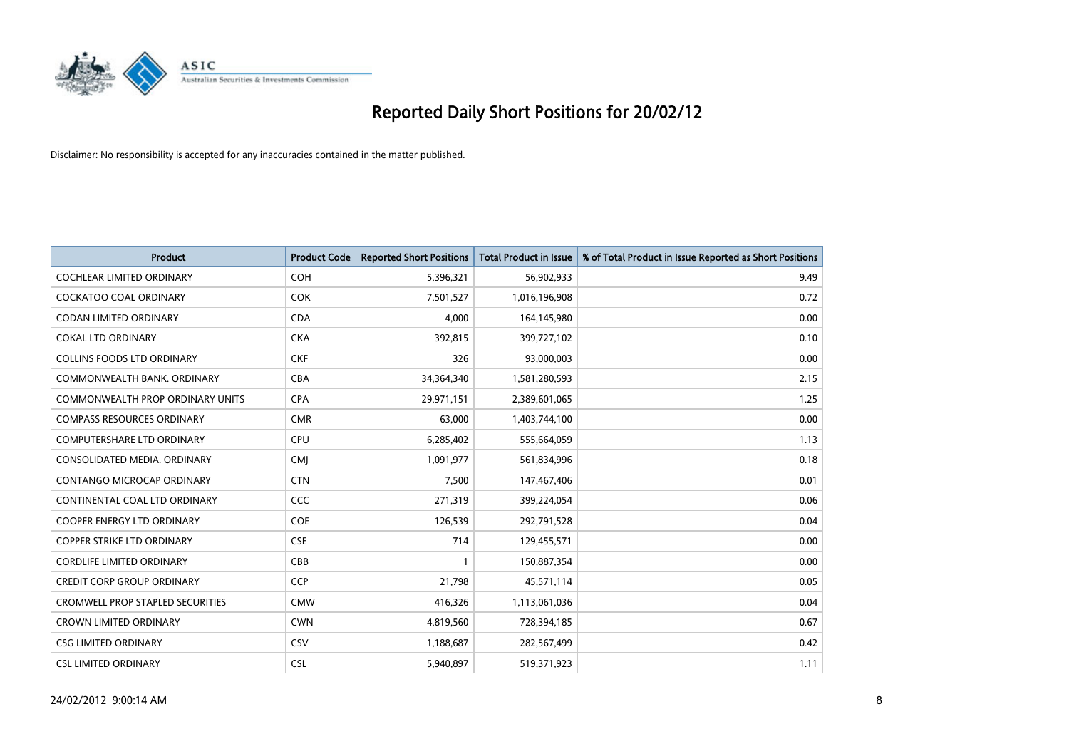

| <b>Product</b>                          | <b>Product Code</b> | <b>Reported Short Positions</b> | <b>Total Product in Issue</b> | % of Total Product in Issue Reported as Short Positions |
|-----------------------------------------|---------------------|---------------------------------|-------------------------------|---------------------------------------------------------|
| <b>COCHLEAR LIMITED ORDINARY</b>        | <b>COH</b>          | 5,396,321                       | 56,902,933                    | 9.49                                                    |
| <b>COCKATOO COAL ORDINARY</b>           | <b>COK</b>          | 7,501,527                       | 1,016,196,908                 | 0.72                                                    |
| <b>CODAN LIMITED ORDINARY</b>           | <b>CDA</b>          | 4,000                           | 164,145,980                   | 0.00                                                    |
| <b>COKAL LTD ORDINARY</b>               | <b>CKA</b>          | 392,815                         | 399,727,102                   | 0.10                                                    |
| <b>COLLINS FOODS LTD ORDINARY</b>       | <b>CKF</b>          | 326                             | 93,000,003                    | 0.00                                                    |
| COMMONWEALTH BANK, ORDINARY             | <b>CBA</b>          | 34,364,340                      | 1,581,280,593                 | 2.15                                                    |
| COMMONWEALTH PROP ORDINARY UNITS        | <b>CPA</b>          | 29,971,151                      | 2,389,601,065                 | 1.25                                                    |
| <b>COMPASS RESOURCES ORDINARY</b>       | <b>CMR</b>          | 63,000                          | 1,403,744,100                 | 0.00                                                    |
| <b>COMPUTERSHARE LTD ORDINARY</b>       | <b>CPU</b>          | 6,285,402                       | 555,664,059                   | 1.13                                                    |
| CONSOLIDATED MEDIA, ORDINARY            | <b>CMI</b>          | 1,091,977                       | 561,834,996                   | 0.18                                                    |
| CONTANGO MICROCAP ORDINARY              | <b>CTN</b>          | 7,500                           | 147,467,406                   | 0.01                                                    |
| CONTINENTAL COAL LTD ORDINARY           | <b>CCC</b>          | 271,319                         | 399,224,054                   | 0.06                                                    |
| <b>COOPER ENERGY LTD ORDINARY</b>       | <b>COE</b>          | 126,539                         | 292,791,528                   | 0.04                                                    |
| <b>COPPER STRIKE LTD ORDINARY</b>       | <b>CSE</b>          | 714                             | 129,455,571                   | 0.00                                                    |
| <b>CORDLIFE LIMITED ORDINARY</b>        | CBB                 | 1                               | 150,887,354                   | 0.00                                                    |
| <b>CREDIT CORP GROUP ORDINARY</b>       | <b>CCP</b>          | 21,798                          | 45,571,114                    | 0.05                                                    |
| <b>CROMWELL PROP STAPLED SECURITIES</b> | <b>CMW</b>          | 416,326                         | 1,113,061,036                 | 0.04                                                    |
| <b>CROWN LIMITED ORDINARY</b>           | <b>CWN</b>          | 4,819,560                       | 728,394,185                   | 0.67                                                    |
| <b>CSG LIMITED ORDINARY</b>             | CSV                 | 1,188,687                       | 282,567,499                   | 0.42                                                    |
| <b>CSL LIMITED ORDINARY</b>             | <b>CSL</b>          | 5,940,897                       | 519,371,923                   | 1.11                                                    |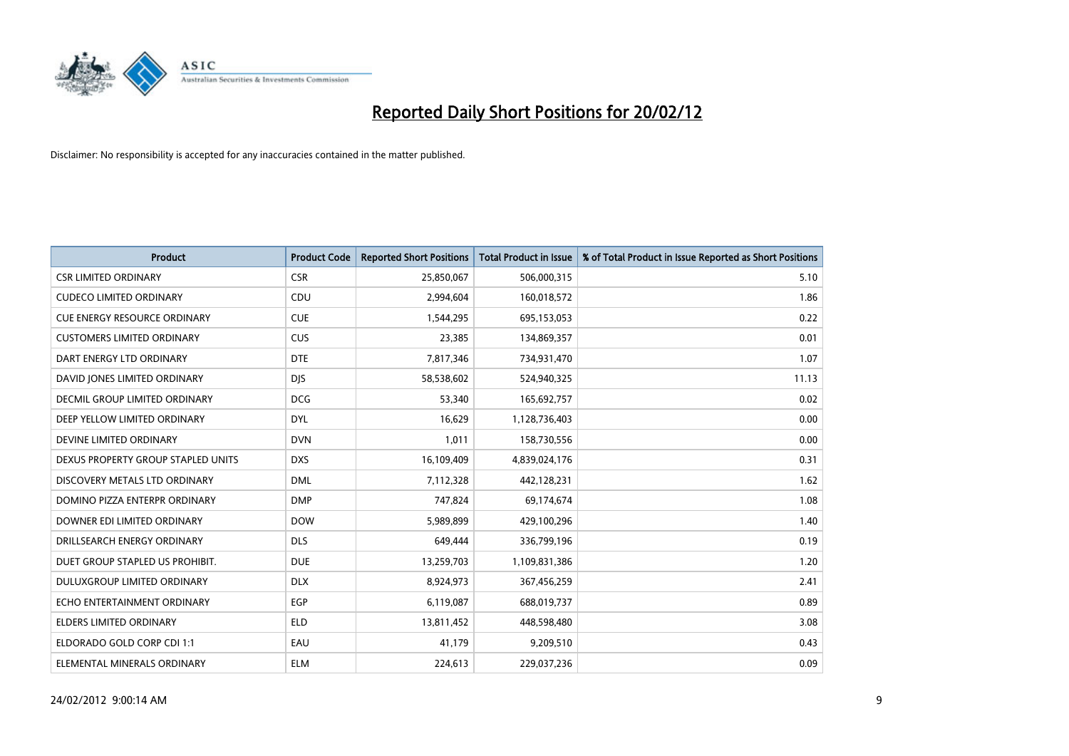

| <b>Product</b>                      | <b>Product Code</b> | <b>Reported Short Positions</b> | <b>Total Product in Issue</b> | % of Total Product in Issue Reported as Short Positions |
|-------------------------------------|---------------------|---------------------------------|-------------------------------|---------------------------------------------------------|
| <b>CSR LIMITED ORDINARY</b>         | <b>CSR</b>          | 25,850,067                      | 506,000,315                   | 5.10                                                    |
| <b>CUDECO LIMITED ORDINARY</b>      | <b>CDU</b>          | 2,994,604                       | 160,018,572                   | 1.86                                                    |
| <b>CUE ENERGY RESOURCE ORDINARY</b> | <b>CUE</b>          | 1,544,295                       | 695,153,053                   | 0.22                                                    |
| <b>CUSTOMERS LIMITED ORDINARY</b>   | <b>CUS</b>          | 23,385                          | 134,869,357                   | 0.01                                                    |
| DART ENERGY LTD ORDINARY            | <b>DTE</b>          | 7,817,346                       | 734,931,470                   | 1.07                                                    |
| DAVID JONES LIMITED ORDINARY        | <b>DJS</b>          | 58,538,602                      | 524,940,325                   | 11.13                                                   |
| DECMIL GROUP LIMITED ORDINARY       | <b>DCG</b>          | 53,340                          | 165,692,757                   | 0.02                                                    |
| DEEP YELLOW LIMITED ORDINARY        | <b>DYL</b>          | 16,629                          | 1,128,736,403                 | 0.00                                                    |
| DEVINE LIMITED ORDINARY             | <b>DVN</b>          | 1,011                           | 158,730,556                   | 0.00                                                    |
| DEXUS PROPERTY GROUP STAPLED UNITS  | <b>DXS</b>          | 16,109,409                      | 4,839,024,176                 | 0.31                                                    |
| DISCOVERY METALS LTD ORDINARY       | <b>DML</b>          | 7,112,328                       | 442,128,231                   | 1.62                                                    |
| DOMINO PIZZA ENTERPR ORDINARY       | <b>DMP</b>          | 747,824                         | 69,174,674                    | 1.08                                                    |
| DOWNER EDI LIMITED ORDINARY         | <b>DOW</b>          | 5,989,899                       | 429,100,296                   | 1.40                                                    |
| DRILLSEARCH ENERGY ORDINARY         | <b>DLS</b>          | 649,444                         | 336,799,196                   | 0.19                                                    |
| DUET GROUP STAPLED US PROHIBIT.     | <b>DUE</b>          | 13,259,703                      | 1,109,831,386                 | 1.20                                                    |
| DULUXGROUP LIMITED ORDINARY         | <b>DLX</b>          | 8,924,973                       | 367,456,259                   | 2.41                                                    |
| ECHO ENTERTAINMENT ORDINARY         | EGP                 | 6,119,087                       | 688,019,737                   | 0.89                                                    |
| <b>ELDERS LIMITED ORDINARY</b>      | <b>ELD</b>          | 13,811,452                      | 448,598,480                   | 3.08                                                    |
| ELDORADO GOLD CORP CDI 1:1          | EAU                 | 41,179                          | 9,209,510                     | 0.43                                                    |
| ELEMENTAL MINERALS ORDINARY         | ELM                 | 224,613                         | 229,037,236                   | 0.09                                                    |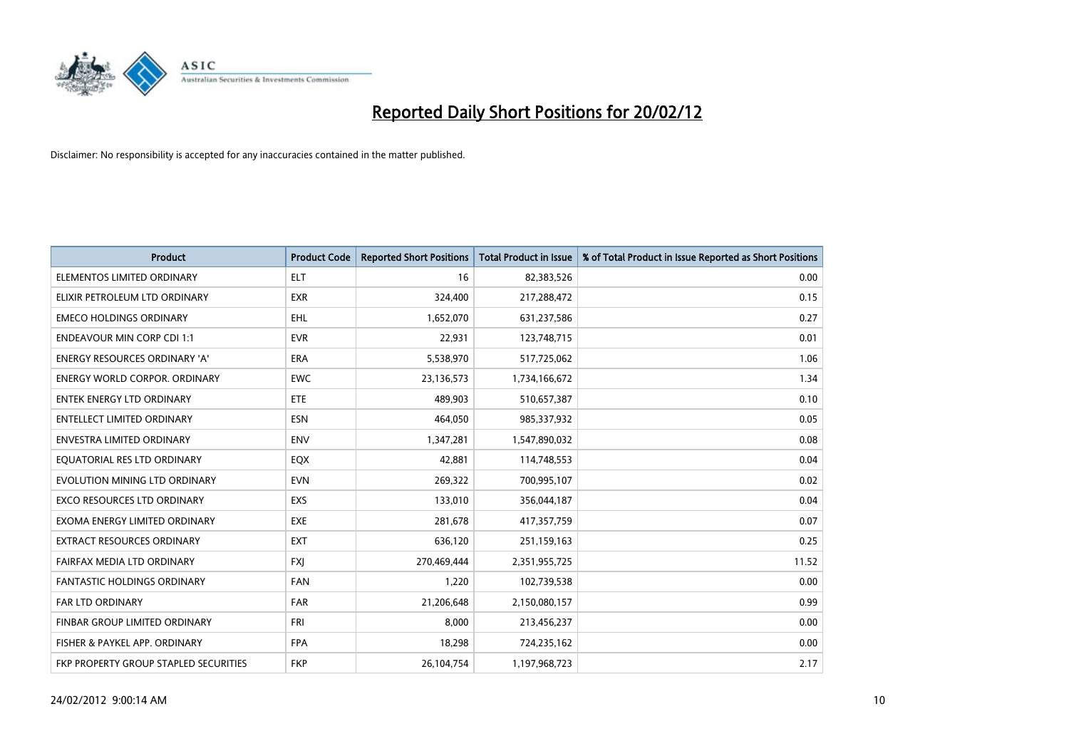

| <b>Product</b>                        | <b>Product Code</b> | <b>Reported Short Positions</b> | <b>Total Product in Issue</b> | % of Total Product in Issue Reported as Short Positions |
|---------------------------------------|---------------------|---------------------------------|-------------------------------|---------------------------------------------------------|
|                                       |                     |                                 |                               |                                                         |
| ELEMENTOS LIMITED ORDINARY            | <b>ELT</b>          | 16                              | 82,383,526                    | 0.00                                                    |
| ELIXIR PETROLEUM LTD ORDINARY         | EXR                 | 324,400                         | 217,288,472                   | 0.15                                                    |
| <b>EMECO HOLDINGS ORDINARY</b>        | <b>EHL</b>          | 1,652,070                       | 631,237,586                   | 0.27                                                    |
| <b>ENDEAVOUR MIN CORP CDI 1:1</b>     | <b>EVR</b>          | 22,931                          | 123,748,715                   | 0.01                                                    |
| <b>ENERGY RESOURCES ORDINARY 'A'</b>  | <b>ERA</b>          | 5,538,970                       | 517,725,062                   | 1.06                                                    |
| <b>ENERGY WORLD CORPOR, ORDINARY</b>  | <b>EWC</b>          | 23,136,573                      | 1,734,166,672                 | 1.34                                                    |
| <b>ENTEK ENERGY LTD ORDINARY</b>      | ETE                 | 489,903                         | 510,657,387                   | 0.10                                                    |
| ENTELLECT LIMITED ORDINARY            | <b>ESN</b>          | 464,050                         | 985,337,932                   | 0.05                                                    |
| <b>ENVESTRA LIMITED ORDINARY</b>      | <b>ENV</b>          | 1,347,281                       | 1,547,890,032                 | 0.08                                                    |
| EQUATORIAL RES LTD ORDINARY           | EQX                 | 42,881                          | 114,748,553                   | 0.04                                                    |
| EVOLUTION MINING LTD ORDINARY         | <b>EVN</b>          | 269,322                         | 700,995,107                   | 0.02                                                    |
| <b>EXCO RESOURCES LTD ORDINARY</b>    | EXS                 | 133,010                         | 356,044,187                   | 0.04                                                    |
| EXOMA ENERGY LIMITED ORDINARY         | <b>EXE</b>          | 281,678                         | 417,357,759                   | 0.07                                                    |
| EXTRACT RESOURCES ORDINARY            | <b>EXT</b>          | 636,120                         | 251,159,163                   | 0.25                                                    |
| FAIRFAX MEDIA LTD ORDINARY            | <b>FXJ</b>          | 270,469,444                     | 2,351,955,725                 | 11.52                                                   |
| FANTASTIC HOLDINGS ORDINARY           | <b>FAN</b>          | 1,220                           | 102,739,538                   | 0.00                                                    |
| FAR LTD ORDINARY                      | <b>FAR</b>          | 21,206,648                      | 2,150,080,157                 | 0.99                                                    |
| FINBAR GROUP LIMITED ORDINARY         | <b>FRI</b>          | 8,000                           | 213,456,237                   | 0.00                                                    |
| FISHER & PAYKEL APP. ORDINARY         | <b>FPA</b>          | 18,298                          | 724,235,162                   | 0.00                                                    |
| FKP PROPERTY GROUP STAPLED SECURITIES | <b>FKP</b>          | 26,104,754                      | 1,197,968,723                 | 2.17                                                    |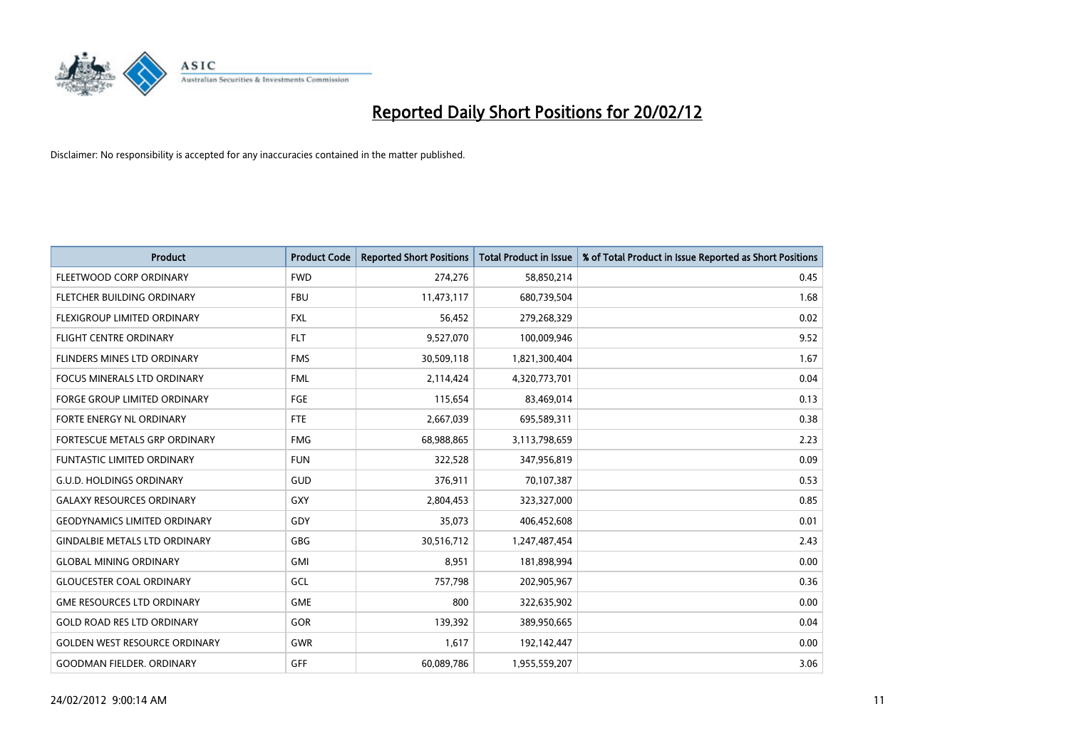

| <b>Product</b>                       | <b>Product Code</b> | <b>Reported Short Positions</b> | <b>Total Product in Issue</b> | % of Total Product in Issue Reported as Short Positions |
|--------------------------------------|---------------------|---------------------------------|-------------------------------|---------------------------------------------------------|
| FLEETWOOD CORP ORDINARY              | <b>FWD</b>          | 274,276                         | 58,850,214                    | 0.45                                                    |
| FLETCHER BUILDING ORDINARY           | <b>FBU</b>          | 11,473,117                      | 680,739,504                   | 1.68                                                    |
| FLEXIGROUP LIMITED ORDINARY          | <b>FXL</b>          | 56,452                          | 279,268,329                   | 0.02                                                    |
| <b>FLIGHT CENTRE ORDINARY</b>        | <b>FLT</b>          | 9,527,070                       | 100,009,946                   | 9.52                                                    |
| FLINDERS MINES LTD ORDINARY          | <b>FMS</b>          | 30,509,118                      | 1,821,300,404                 | 1.67                                                    |
| <b>FOCUS MINERALS LTD ORDINARY</b>   | <b>FML</b>          | 2,114,424                       | 4,320,773,701                 | 0.04                                                    |
| <b>FORGE GROUP LIMITED ORDINARY</b>  | FGE                 | 115,654                         | 83,469,014                    | 0.13                                                    |
| FORTE ENERGY NL ORDINARY             | FTE                 | 2,667,039                       | 695,589,311                   | 0.38                                                    |
| FORTESCUE METALS GRP ORDINARY        | <b>FMG</b>          | 68,988,865                      | 3,113,798,659                 | 2.23                                                    |
| <b>FUNTASTIC LIMITED ORDINARY</b>    | <b>FUN</b>          | 322,528                         | 347,956,819                   | 0.09                                                    |
| <b>G.U.D. HOLDINGS ORDINARY</b>      | GUD                 | 376,911                         | 70,107,387                    | 0.53                                                    |
| <b>GALAXY RESOURCES ORDINARY</b>     | GXY                 | 2,804,453                       | 323,327,000                   | 0.85                                                    |
| <b>GEODYNAMICS LIMITED ORDINARY</b>  | GDY                 | 35,073                          | 406,452,608                   | 0.01                                                    |
| <b>GINDALBIE METALS LTD ORDINARY</b> | GBG                 | 30,516,712                      | 1,247,487,454                 | 2.43                                                    |
| <b>GLOBAL MINING ORDINARY</b>        | <b>GMI</b>          | 8,951                           | 181,898,994                   | 0.00                                                    |
| <b>GLOUCESTER COAL ORDINARY</b>      | GCL                 | 757,798                         | 202,905,967                   | 0.36                                                    |
| <b>GME RESOURCES LTD ORDINARY</b>    | <b>GME</b>          | 800                             | 322,635,902                   | 0.00                                                    |
| <b>GOLD ROAD RES LTD ORDINARY</b>    | GOR                 | 139,392                         | 389,950,665                   | 0.04                                                    |
| <b>GOLDEN WEST RESOURCE ORDINARY</b> | <b>GWR</b>          | 1,617                           | 192,142,447                   | 0.00                                                    |
| <b>GOODMAN FIELDER, ORDINARY</b>     | GFF                 | 60,089,786                      | 1,955,559,207                 | 3.06                                                    |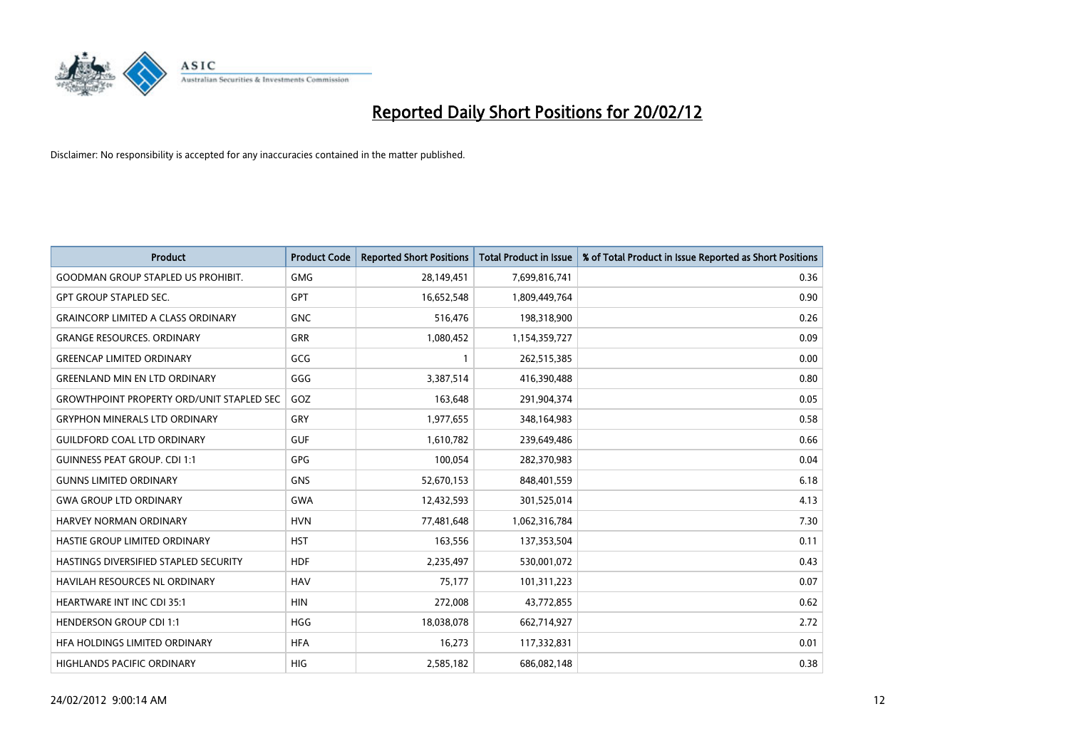

| <b>Product</b>                                   | <b>Product Code</b> | <b>Reported Short Positions</b> | <b>Total Product in Issue</b> | % of Total Product in Issue Reported as Short Positions |
|--------------------------------------------------|---------------------|---------------------------------|-------------------------------|---------------------------------------------------------|
| <b>GOODMAN GROUP STAPLED US PROHIBIT.</b>        | <b>GMG</b>          | 28,149,451                      | 7,699,816,741                 | 0.36                                                    |
| <b>GPT GROUP STAPLED SEC.</b>                    | <b>GPT</b>          | 16,652,548                      | 1,809,449,764                 | 0.90                                                    |
| <b>GRAINCORP LIMITED A CLASS ORDINARY</b>        | <b>GNC</b>          | 516,476                         | 198,318,900                   | 0.26                                                    |
| <b>GRANGE RESOURCES. ORDINARY</b>                | GRR                 | 1,080,452                       | 1,154,359,727                 | 0.09                                                    |
| <b>GREENCAP LIMITED ORDINARY</b>                 | GCG                 | 1                               | 262,515,385                   | 0.00                                                    |
| <b>GREENLAND MIN EN LTD ORDINARY</b>             | GGG                 | 3,387,514                       | 416,390,488                   | 0.80                                                    |
| <b>GROWTHPOINT PROPERTY ORD/UNIT STAPLED SEC</b> | GOZ                 | 163,648                         | 291,904,374                   | 0.05                                                    |
| <b>GRYPHON MINERALS LTD ORDINARY</b>             | GRY                 | 1,977,655                       | 348,164,983                   | 0.58                                                    |
| <b>GUILDFORD COAL LTD ORDINARY</b>               | <b>GUF</b>          | 1,610,782                       | 239,649,486                   | 0.66                                                    |
| <b>GUINNESS PEAT GROUP. CDI 1:1</b>              | <b>GPG</b>          | 100,054                         | 282,370,983                   | 0.04                                                    |
| <b>GUNNS LIMITED ORDINARY</b>                    | <b>GNS</b>          | 52,670,153                      | 848,401,559                   | 6.18                                                    |
| <b>GWA GROUP LTD ORDINARY</b>                    | GWA                 | 12,432,593                      | 301,525,014                   | 4.13                                                    |
| HARVEY NORMAN ORDINARY                           | <b>HVN</b>          | 77,481,648                      | 1,062,316,784                 | 7.30                                                    |
| HASTIE GROUP LIMITED ORDINARY                    | <b>HST</b>          | 163,556                         | 137,353,504                   | 0.11                                                    |
| HASTINGS DIVERSIFIED STAPLED SECURITY            | <b>HDF</b>          | 2,235,497                       | 530,001,072                   | 0.43                                                    |
| <b>HAVILAH RESOURCES NL ORDINARY</b>             | <b>HAV</b>          | 75,177                          | 101,311,223                   | 0.07                                                    |
| <b>HEARTWARE INT INC CDI 35:1</b>                | <b>HIN</b>          | 272,008                         | 43,772,855                    | 0.62                                                    |
| <b>HENDERSON GROUP CDI 1:1</b>                   | <b>HGG</b>          | 18,038,078                      | 662,714,927                   | 2.72                                                    |
| HFA HOLDINGS LIMITED ORDINARY                    | <b>HFA</b>          | 16,273                          | 117,332,831                   | 0.01                                                    |
| <b>HIGHLANDS PACIFIC ORDINARY</b>                | <b>HIG</b>          | 2,585,182                       | 686,082,148                   | 0.38                                                    |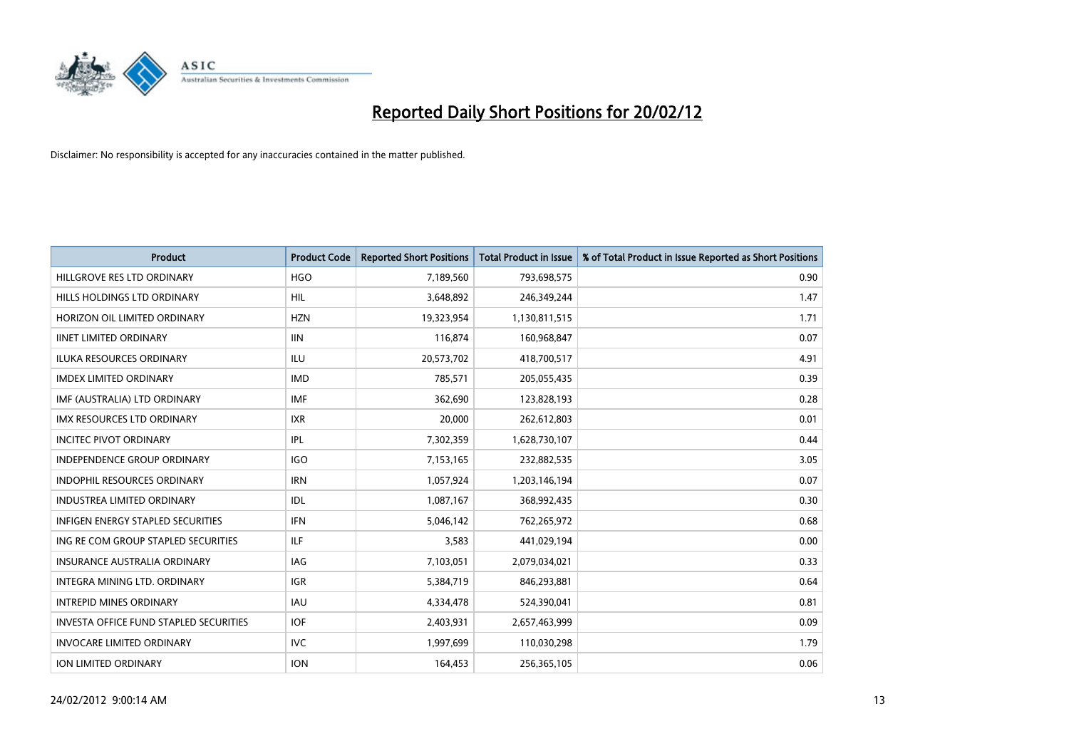

| <b>Product</b>                                | <b>Product Code</b> | <b>Reported Short Positions</b> | <b>Total Product in Issue</b> | % of Total Product in Issue Reported as Short Positions |
|-----------------------------------------------|---------------------|---------------------------------|-------------------------------|---------------------------------------------------------|
| HILLGROVE RES LTD ORDINARY                    | <b>HGO</b>          | 7,189,560                       | 793,698,575                   | 0.90                                                    |
| HILLS HOLDINGS LTD ORDINARY                   | HIL                 | 3,648,892                       | 246,349,244                   | 1.47                                                    |
| HORIZON OIL LIMITED ORDINARY                  | <b>HZN</b>          | 19,323,954                      | 1,130,811,515                 | 1.71                                                    |
| <b>IINET LIMITED ORDINARY</b>                 | <b>IIN</b>          | 116,874                         | 160,968,847                   | 0.07                                                    |
| <b>ILUKA RESOURCES ORDINARY</b>               | ILU                 | 20,573,702                      | 418,700,517                   | 4.91                                                    |
| <b>IMDEX LIMITED ORDINARY</b>                 | <b>IMD</b>          | 785,571                         | 205,055,435                   | 0.39                                                    |
| IMF (AUSTRALIA) LTD ORDINARY                  | <b>IMF</b>          | 362,690                         | 123,828,193                   | 0.28                                                    |
| IMX RESOURCES LTD ORDINARY                    | <b>IXR</b>          | 20,000                          | 262,612,803                   | 0.01                                                    |
| <b>INCITEC PIVOT ORDINARY</b>                 | IPL                 | 7,302,359                       | 1,628,730,107                 | 0.44                                                    |
| <b>INDEPENDENCE GROUP ORDINARY</b>            | <b>IGO</b>          | 7,153,165                       | 232,882,535                   | 3.05                                                    |
| INDOPHIL RESOURCES ORDINARY                   | <b>IRN</b>          | 1,057,924                       | 1,203,146,194                 | 0.07                                                    |
| <b>INDUSTREA LIMITED ORDINARY</b>             | IDL                 | 1,087,167                       | 368,992,435                   | 0.30                                                    |
| <b>INFIGEN ENERGY STAPLED SECURITIES</b>      | <b>IFN</b>          | 5,046,142                       | 762,265,972                   | 0.68                                                    |
| ING RE COM GROUP STAPLED SECURITIES           | ILF                 | 3,583                           | 441,029,194                   | 0.00                                                    |
| <b>INSURANCE AUSTRALIA ORDINARY</b>           | <b>IAG</b>          | 7,103,051                       | 2,079,034,021                 | 0.33                                                    |
| INTEGRA MINING LTD, ORDINARY                  | IGR                 | 5,384,719                       | 846,293,881                   | 0.64                                                    |
| <b>INTREPID MINES ORDINARY</b>                | IAU                 | 4,334,478                       | 524,390,041                   | 0.81                                                    |
| <b>INVESTA OFFICE FUND STAPLED SECURITIES</b> | <b>IOF</b>          | 2,403,931                       | 2,657,463,999                 | 0.09                                                    |
| <b>INVOCARE LIMITED ORDINARY</b>              | <b>IVC</b>          | 1,997,699                       | 110,030,298                   | 1.79                                                    |
| ION LIMITED ORDINARY                          | <b>ION</b>          | 164,453                         | 256,365,105                   | 0.06                                                    |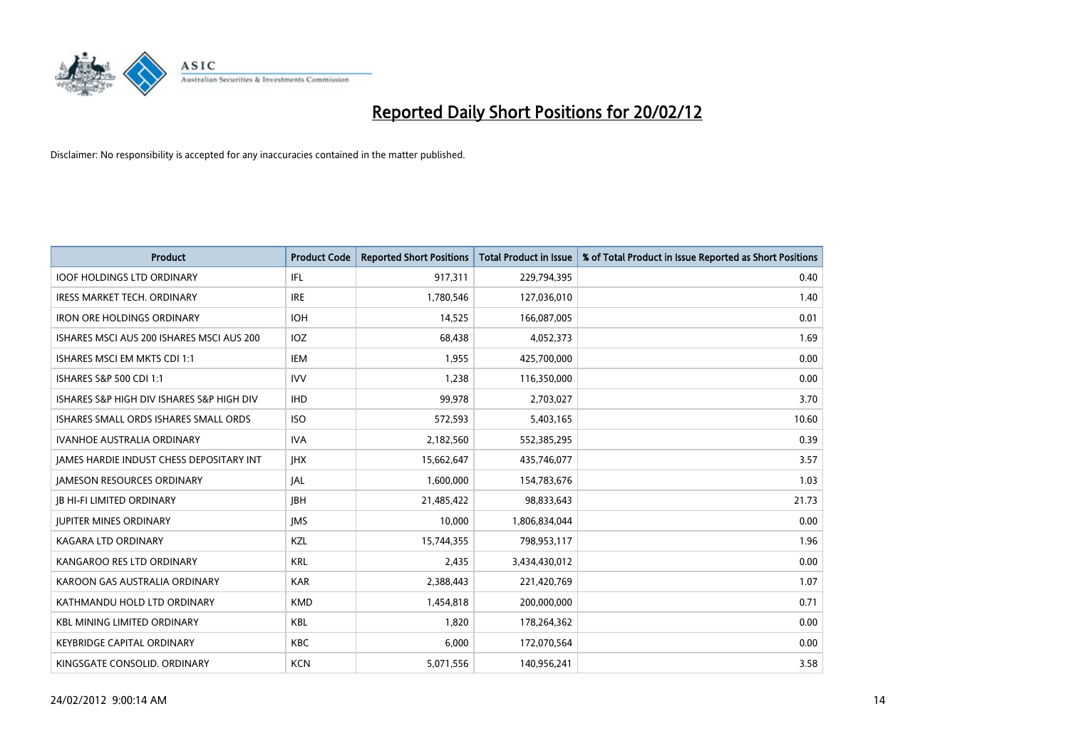

| <b>Product</b>                            | <b>Product Code</b> | <b>Reported Short Positions</b> | <b>Total Product in Issue</b> | % of Total Product in Issue Reported as Short Positions |
|-------------------------------------------|---------------------|---------------------------------|-------------------------------|---------------------------------------------------------|
| <b>IOOF HOLDINGS LTD ORDINARY</b>         | IFL                 | 917,311                         | 229,794,395                   | 0.40                                                    |
| IRESS MARKET TECH. ORDINARY               | <b>IRE</b>          | 1,780,546                       | 127,036,010                   | 1.40                                                    |
| <b>IRON ORE HOLDINGS ORDINARY</b>         | <b>IOH</b>          | 14,525                          | 166,087,005                   | 0.01                                                    |
| ISHARES MSCI AUS 200 ISHARES MSCI AUS 200 | IOZ                 | 68,438                          | 4,052,373                     | 1.69                                                    |
| ISHARES MSCI EM MKTS CDI 1:1              | IEM                 | 1,955                           | 425,700,000                   | 0.00                                                    |
| ISHARES S&P 500 CDI 1:1                   | <b>IVV</b>          | 1,238                           | 116,350,000                   | 0.00                                                    |
| ISHARES S&P HIGH DIV ISHARES S&P HIGH DIV | <b>IHD</b>          | 99.978                          | 2,703,027                     | 3.70                                                    |
| ISHARES SMALL ORDS ISHARES SMALL ORDS     | <b>ISO</b>          | 572,593                         | 5,403,165                     | 10.60                                                   |
| <b>IVANHOE AUSTRALIA ORDINARY</b>         | <b>IVA</b>          | 2,182,560                       | 552,385,295                   | 0.39                                                    |
| JAMES HARDIE INDUST CHESS DEPOSITARY INT  | <b>IHX</b>          | 15,662,647                      | 435,746,077                   | 3.57                                                    |
| <b>JAMESON RESOURCES ORDINARY</b>         | <b>JAL</b>          | 1,600,000                       | 154,783,676                   | 1.03                                                    |
| <b>JB HI-FI LIMITED ORDINARY</b>          | <b>IBH</b>          | 21,485,422                      | 98,833,643                    | 21.73                                                   |
| <b>JUPITER MINES ORDINARY</b>             | <b>IMS</b>          | 10,000                          | 1,806,834,044                 | 0.00                                                    |
| <b>KAGARA LTD ORDINARY</b>                | KZL                 | 15,744,355                      | 798,953,117                   | 1.96                                                    |
| KANGAROO RES LTD ORDINARY                 | <b>KRL</b>          | 2,435                           | 3,434,430,012                 | 0.00                                                    |
| KAROON GAS AUSTRALIA ORDINARY             | <b>KAR</b>          | 2,388,443                       | 221,420,769                   | 1.07                                                    |
| KATHMANDU HOLD LTD ORDINARY               | <b>KMD</b>          | 1,454,818                       | 200,000,000                   | 0.71                                                    |
| <b>KBL MINING LIMITED ORDINARY</b>        | <b>KBL</b>          | 1.820                           | 178,264,362                   | 0.00                                                    |
| <b>KEYBRIDGE CAPITAL ORDINARY</b>         | <b>KBC</b>          | 6,000                           | 172,070,564                   | 0.00                                                    |
| KINGSGATE CONSOLID. ORDINARY              | <b>KCN</b>          | 5,071,556                       | 140,956,241                   | 3.58                                                    |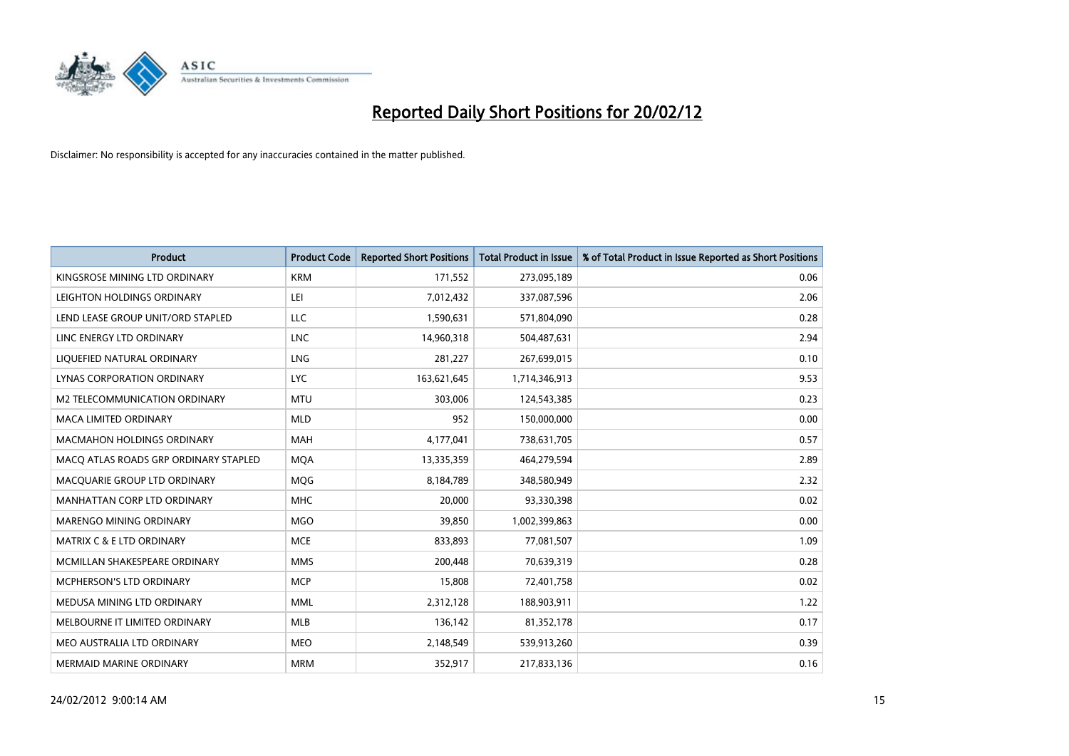

| <b>Product</b>                        | <b>Product Code</b> | <b>Reported Short Positions</b> | <b>Total Product in Issue</b> | % of Total Product in Issue Reported as Short Positions |
|---------------------------------------|---------------------|---------------------------------|-------------------------------|---------------------------------------------------------|
| KINGSROSE MINING LTD ORDINARY         | <b>KRM</b>          | 171,552                         | 273,095,189                   | 0.06                                                    |
| LEIGHTON HOLDINGS ORDINARY            | LEI                 | 7,012,432                       | 337,087,596                   | 2.06                                                    |
| LEND LEASE GROUP UNIT/ORD STAPLED     | LLC                 | 1,590,631                       | 571,804,090                   | 0.28                                                    |
| LINC ENERGY LTD ORDINARY              | <b>LNC</b>          | 14,960,318                      | 504,487,631                   | 2.94                                                    |
| LIQUEFIED NATURAL ORDINARY            | LNG                 | 281,227                         | 267,699,015                   | 0.10                                                    |
| LYNAS CORPORATION ORDINARY            | <b>LYC</b>          | 163,621,645                     | 1,714,346,913                 | 9.53                                                    |
| M2 TELECOMMUNICATION ORDINARY         | <b>MTU</b>          | 303,006                         | 124,543,385                   | 0.23                                                    |
| MACA LIMITED ORDINARY                 | <b>MLD</b>          | 952                             | 150,000,000                   | 0.00                                                    |
| <b>MACMAHON HOLDINGS ORDINARY</b>     | MAH                 | 4,177,041                       | 738,631,705                   | 0.57                                                    |
| MACO ATLAS ROADS GRP ORDINARY STAPLED | <b>MOA</b>          | 13,335,359                      | 464,279,594                   | 2.89                                                    |
| MACQUARIE GROUP LTD ORDINARY          | MQG                 | 8,184,789                       | 348,580,949                   | 2.32                                                    |
| MANHATTAN CORP LTD ORDINARY           | <b>MHC</b>          | 20,000                          | 93,330,398                    | 0.02                                                    |
| MARENGO MINING ORDINARY               | <b>MGO</b>          | 39,850                          | 1,002,399,863                 | 0.00                                                    |
| <b>MATRIX C &amp; E LTD ORDINARY</b>  | <b>MCE</b>          | 833,893                         | 77,081,507                    | 1.09                                                    |
| MCMILLAN SHAKESPEARE ORDINARY         | <b>MMS</b>          | 200,448                         | 70,639,319                    | 0.28                                                    |
| <b>MCPHERSON'S LTD ORDINARY</b>       | <b>MCP</b>          | 15,808                          | 72,401,758                    | 0.02                                                    |
| MEDUSA MINING LTD ORDINARY            | <b>MML</b>          | 2,312,128                       | 188,903,911                   | 1.22                                                    |
| MELBOURNE IT LIMITED ORDINARY         | <b>MLB</b>          | 136,142                         | 81,352,178                    | 0.17                                                    |
| MEO AUSTRALIA LTD ORDINARY            | <b>MEO</b>          | 2,148,549                       | 539,913,260                   | 0.39                                                    |
| <b>MERMAID MARINE ORDINARY</b>        | <b>MRM</b>          | 352,917                         | 217,833,136                   | 0.16                                                    |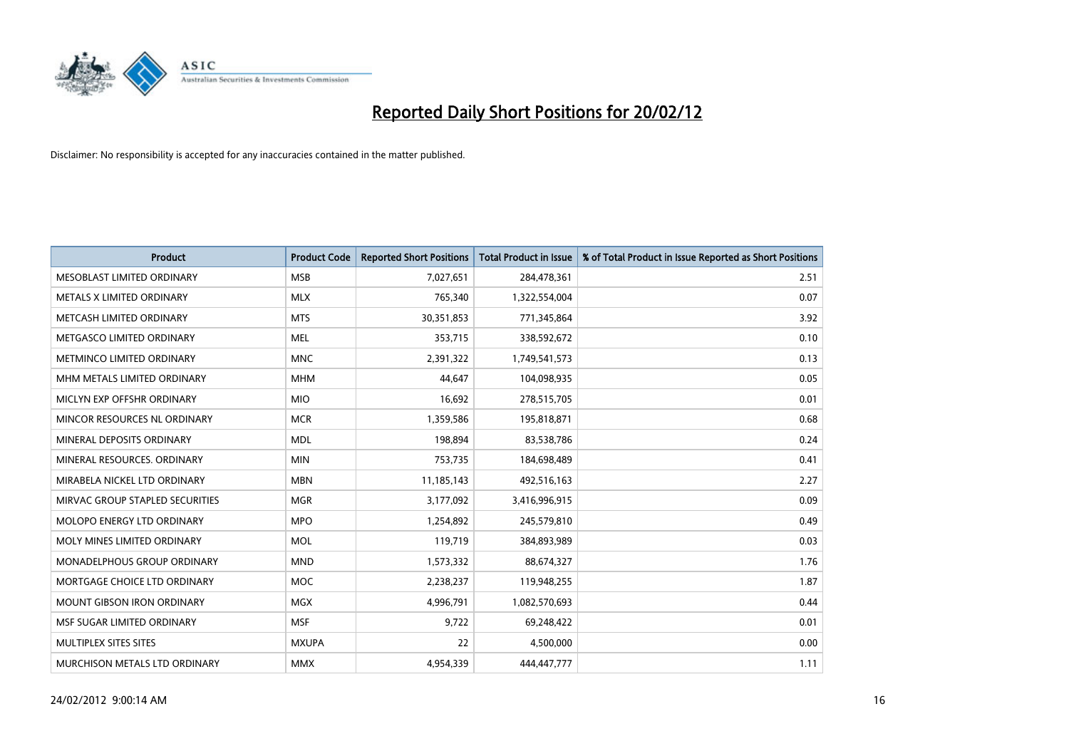

| <b>Product</b>                  | <b>Product Code</b> | <b>Reported Short Positions</b> | <b>Total Product in Issue</b> | % of Total Product in Issue Reported as Short Positions |
|---------------------------------|---------------------|---------------------------------|-------------------------------|---------------------------------------------------------|
| MESOBLAST LIMITED ORDINARY      | <b>MSB</b>          | 7,027,651                       | 284,478,361                   | 2.51                                                    |
| METALS X LIMITED ORDINARY       | <b>MLX</b>          | 765,340                         | 1,322,554,004                 | 0.07                                                    |
| METCASH LIMITED ORDINARY        | <b>MTS</b>          | 30,351,853                      | 771,345,864                   | 3.92                                                    |
| METGASCO LIMITED ORDINARY       | <b>MEL</b>          | 353,715                         | 338,592,672                   | 0.10                                                    |
| METMINCO LIMITED ORDINARY       | <b>MNC</b>          | 2,391,322                       | 1,749,541,573                 | 0.13                                                    |
| MHM METALS LIMITED ORDINARY     | <b>MHM</b>          | 44,647                          | 104,098,935                   | 0.05                                                    |
| MICLYN EXP OFFSHR ORDINARY      | <b>MIO</b>          | 16,692                          | 278,515,705                   | 0.01                                                    |
| MINCOR RESOURCES NL ORDINARY    | <b>MCR</b>          | 1,359,586                       | 195,818,871                   | 0.68                                                    |
| MINERAL DEPOSITS ORDINARY       | <b>MDL</b>          | 198,894                         | 83,538,786                    | 0.24                                                    |
| MINERAL RESOURCES, ORDINARY     | <b>MIN</b>          | 753,735                         | 184,698,489                   | 0.41                                                    |
| MIRABELA NICKEL LTD ORDINARY    | <b>MBN</b>          | 11,185,143                      | 492,516,163                   | 2.27                                                    |
| MIRVAC GROUP STAPLED SECURITIES | <b>MGR</b>          | 3,177,092                       | 3,416,996,915                 | 0.09                                                    |
| MOLOPO ENERGY LTD ORDINARY      | <b>MPO</b>          | 1,254,892                       | 245,579,810                   | 0.49                                                    |
| MOLY MINES LIMITED ORDINARY     | <b>MOL</b>          | 119,719                         | 384,893,989                   | 0.03                                                    |
| MONADELPHOUS GROUP ORDINARY     | <b>MND</b>          | 1,573,332                       | 88,674,327                    | 1.76                                                    |
| MORTGAGE CHOICE LTD ORDINARY    | <b>MOC</b>          | 2,238,237                       | 119,948,255                   | 1.87                                                    |
| MOUNT GIBSON IRON ORDINARY      | <b>MGX</b>          | 4,996,791                       | 1,082,570,693                 | 0.44                                                    |
| MSF SUGAR LIMITED ORDINARY      | <b>MSF</b>          | 9,722                           | 69,248,422                    | 0.01                                                    |
| MULTIPLEX SITES SITES           | <b>MXUPA</b>        | 22                              | 4,500,000                     | 0.00                                                    |
| MURCHISON METALS LTD ORDINARY   | <b>MMX</b>          | 4,954,339                       | 444,447,777                   | 1.11                                                    |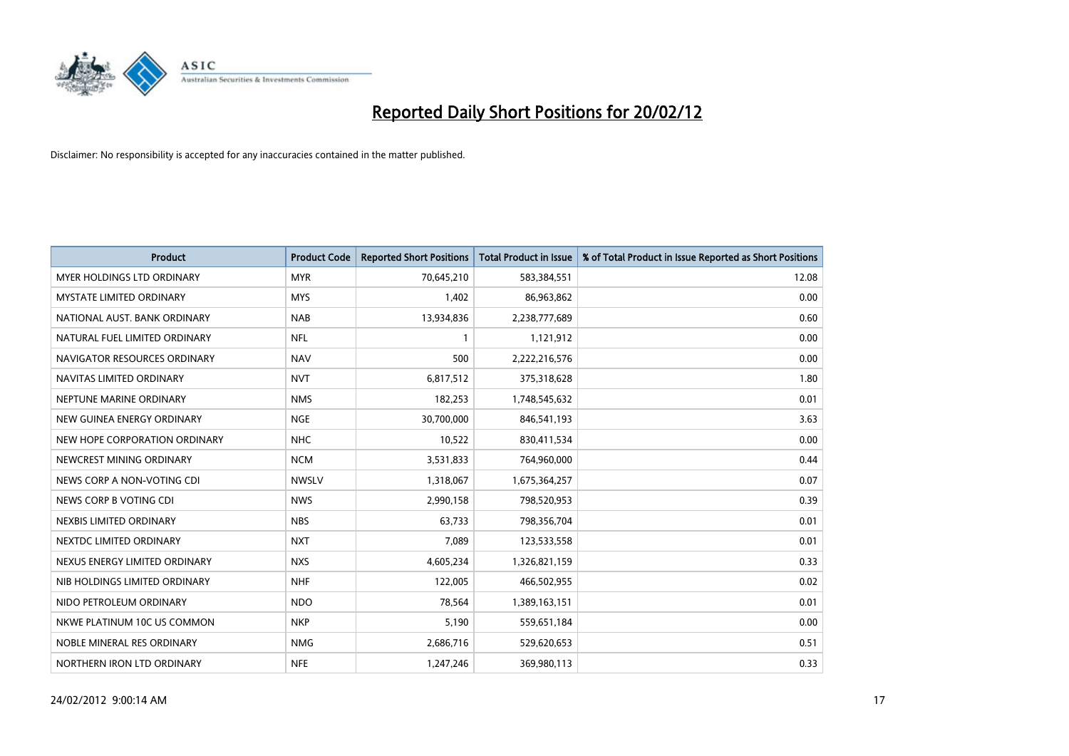

| Product                           | <b>Product Code</b> | <b>Reported Short Positions</b> | <b>Total Product in Issue</b> | % of Total Product in Issue Reported as Short Positions |
|-----------------------------------|---------------------|---------------------------------|-------------------------------|---------------------------------------------------------|
| <b>MYER HOLDINGS LTD ORDINARY</b> | <b>MYR</b>          | 70,645,210                      | 583,384,551                   | 12.08                                                   |
| <b>MYSTATE LIMITED ORDINARY</b>   | <b>MYS</b>          | 1,402                           | 86,963,862                    | 0.00                                                    |
| NATIONAL AUST. BANK ORDINARY      | <b>NAB</b>          | 13,934,836                      | 2,238,777,689                 | 0.60                                                    |
| NATURAL FUEL LIMITED ORDINARY     | <b>NFL</b>          | 1                               | 1,121,912                     | 0.00                                                    |
| NAVIGATOR RESOURCES ORDINARY      | <b>NAV</b>          | 500                             | 2,222,216,576                 | 0.00                                                    |
| NAVITAS LIMITED ORDINARY          | <b>NVT</b>          | 6,817,512                       | 375,318,628                   | 1.80                                                    |
| NEPTUNE MARINE ORDINARY           | <b>NMS</b>          | 182,253                         | 1,748,545,632                 | 0.01                                                    |
| NEW GUINEA ENERGY ORDINARY        | <b>NGE</b>          | 30,700,000                      | 846,541,193                   | 3.63                                                    |
| NEW HOPE CORPORATION ORDINARY     | <b>NHC</b>          | 10,522                          | 830,411,534                   | 0.00                                                    |
| NEWCREST MINING ORDINARY          | <b>NCM</b>          | 3,531,833                       | 764,960,000                   | 0.44                                                    |
| NEWS CORP A NON-VOTING CDI        | <b>NWSLV</b>        | 1,318,067                       | 1,675,364,257                 | 0.07                                                    |
| NEWS CORP B VOTING CDI            | <b>NWS</b>          | 2,990,158                       | 798,520,953                   | 0.39                                                    |
| NEXBIS LIMITED ORDINARY           | <b>NBS</b>          | 63,733                          | 798,356,704                   | 0.01                                                    |
| NEXTDC LIMITED ORDINARY           | <b>NXT</b>          | 7,089                           | 123,533,558                   | 0.01                                                    |
| NEXUS ENERGY LIMITED ORDINARY     | <b>NXS</b>          | 4,605,234                       | 1,326,821,159                 | 0.33                                                    |
| NIB HOLDINGS LIMITED ORDINARY     | <b>NHF</b>          | 122,005                         | 466,502,955                   | 0.02                                                    |
| NIDO PETROLEUM ORDINARY           | <b>NDO</b>          | 78,564                          | 1,389,163,151                 | 0.01                                                    |
| NKWE PLATINUM 10C US COMMON       | <b>NKP</b>          | 5,190                           | 559,651,184                   | 0.00                                                    |
| NOBLE MINERAL RES ORDINARY        | <b>NMG</b>          | 2,686,716                       | 529,620,653                   | 0.51                                                    |
| NORTHERN IRON LTD ORDINARY        | <b>NFE</b>          | 1,247,246                       | 369,980,113                   | 0.33                                                    |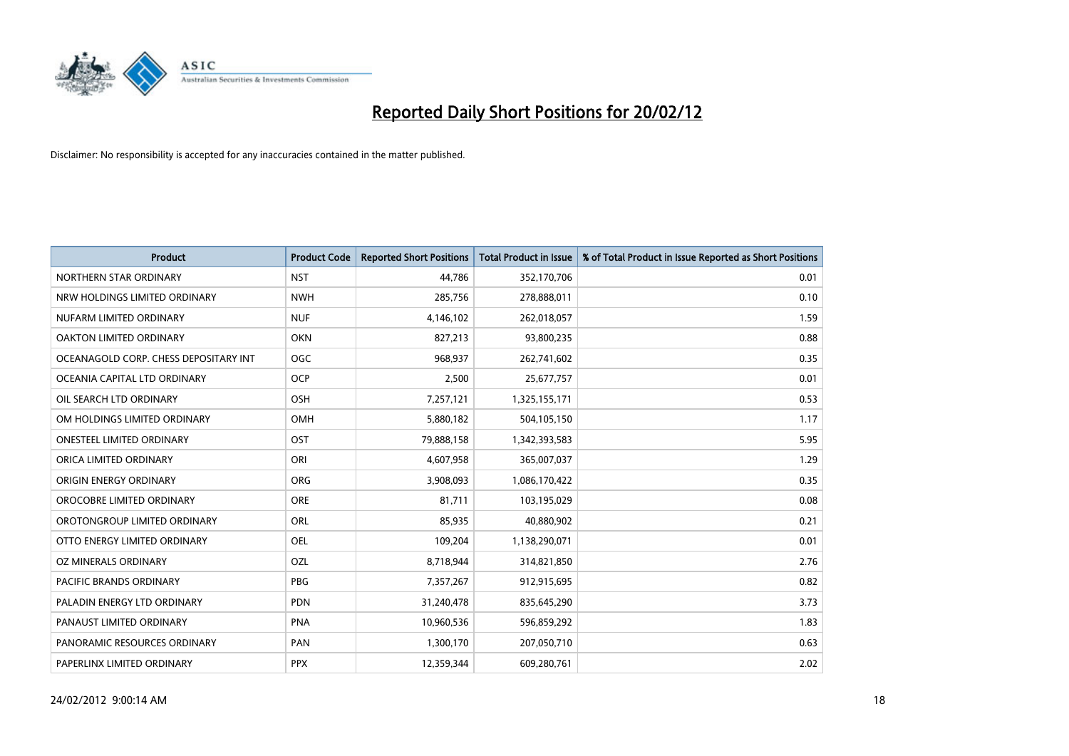

| <b>Product</b>                        | <b>Product Code</b> | <b>Reported Short Positions</b> | <b>Total Product in Issue</b> | % of Total Product in Issue Reported as Short Positions |
|---------------------------------------|---------------------|---------------------------------|-------------------------------|---------------------------------------------------------|
| NORTHERN STAR ORDINARY                | <b>NST</b>          | 44,786                          | 352,170,706                   | 0.01                                                    |
| NRW HOLDINGS LIMITED ORDINARY         | <b>NWH</b>          | 285,756                         | 278,888,011                   | 0.10                                                    |
| NUFARM LIMITED ORDINARY               | <b>NUF</b>          | 4,146,102                       | 262,018,057                   | 1.59                                                    |
| OAKTON LIMITED ORDINARY               | <b>OKN</b>          | 827,213                         | 93,800,235                    | 0.88                                                    |
| OCEANAGOLD CORP. CHESS DEPOSITARY INT | <b>OGC</b>          | 968,937                         | 262,741,602                   | 0.35                                                    |
| OCEANIA CAPITAL LTD ORDINARY          | <b>OCP</b>          | 2,500                           | 25,677,757                    | 0.01                                                    |
| OIL SEARCH LTD ORDINARY               | OSH                 | 7,257,121                       | 1,325,155,171                 | 0.53                                                    |
| OM HOLDINGS LIMITED ORDINARY          | OMH                 | 5,880,182                       | 504,105,150                   | 1.17                                                    |
| <b>ONESTEEL LIMITED ORDINARY</b>      | OST                 | 79,888,158                      | 1,342,393,583                 | 5.95                                                    |
| ORICA LIMITED ORDINARY                | ORI                 | 4,607,958                       | 365,007,037                   | 1.29                                                    |
| ORIGIN ENERGY ORDINARY                | <b>ORG</b>          | 3,908,093                       | 1,086,170,422                 | 0.35                                                    |
| OROCOBRE LIMITED ORDINARY             | <b>ORE</b>          | 81,711                          | 103,195,029                   | 0.08                                                    |
| OROTONGROUP LIMITED ORDINARY          | ORL                 | 85,935                          | 40,880,902                    | 0.21                                                    |
| OTTO ENERGY LIMITED ORDINARY          | <b>OEL</b>          | 109,204                         | 1,138,290,071                 | 0.01                                                    |
| <b>OZ MINERALS ORDINARY</b>           | OZL                 | 8,718,944                       | 314,821,850                   | 2.76                                                    |
| <b>PACIFIC BRANDS ORDINARY</b>        | <b>PBG</b>          | 7,357,267                       | 912,915,695                   | 0.82                                                    |
| PALADIN ENERGY LTD ORDINARY           | PDN                 | 31,240,478                      | 835,645,290                   | 3.73                                                    |
| PANAUST LIMITED ORDINARY              | <b>PNA</b>          | 10,960,536                      | 596,859,292                   | 1.83                                                    |
| PANORAMIC RESOURCES ORDINARY          | PAN                 | 1,300,170                       | 207,050,710                   | 0.63                                                    |
| PAPERLINX LIMITED ORDINARY            | <b>PPX</b>          | 12,359,344                      | 609,280,761                   | 2.02                                                    |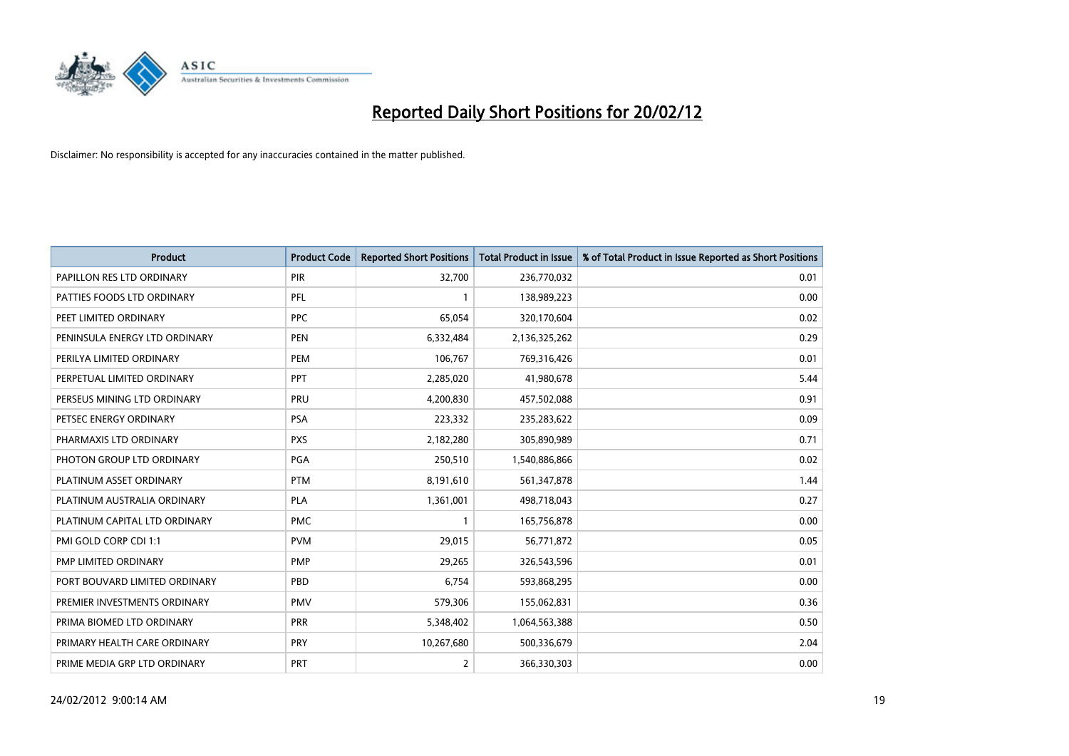

| <b>Product</b>                | <b>Product Code</b> | <b>Reported Short Positions</b> | <b>Total Product in Issue</b> | % of Total Product in Issue Reported as Short Positions |
|-------------------------------|---------------------|---------------------------------|-------------------------------|---------------------------------------------------------|
| PAPILLON RES LTD ORDINARY     | PIR                 | 32,700                          | 236,770,032                   | 0.01                                                    |
| PATTIES FOODS LTD ORDINARY    | PFL                 |                                 | 138,989,223                   | 0.00                                                    |
| PEET LIMITED ORDINARY         | <b>PPC</b>          | 65,054                          | 320,170,604                   | 0.02                                                    |
| PENINSULA ENERGY LTD ORDINARY | <b>PEN</b>          | 6,332,484                       | 2,136,325,262                 | 0.29                                                    |
| PERILYA LIMITED ORDINARY      | PEM                 | 106,767                         | 769,316,426                   | 0.01                                                    |
| PERPETUAL LIMITED ORDINARY    | PPT                 | 2,285,020                       | 41,980,678                    | 5.44                                                    |
| PERSEUS MINING LTD ORDINARY   | <b>PRU</b>          | 4,200,830                       | 457,502,088                   | 0.91                                                    |
| PETSEC ENERGY ORDINARY        | <b>PSA</b>          | 223,332                         | 235,283,622                   | 0.09                                                    |
| PHARMAXIS LTD ORDINARY        | <b>PXS</b>          | 2,182,280                       | 305,890,989                   | 0.71                                                    |
| PHOTON GROUP LTD ORDINARY     | PGA                 | 250,510                         | 1,540,886,866                 | 0.02                                                    |
| PLATINUM ASSET ORDINARY       | <b>PTM</b>          | 8,191,610                       | 561,347,878                   | 1.44                                                    |
| PLATINUM AUSTRALIA ORDINARY   | <b>PLA</b>          | 1,361,001                       | 498,718,043                   | 0.27                                                    |
| PLATINUM CAPITAL LTD ORDINARY | <b>PMC</b>          | $\mathbf{1}$                    | 165,756,878                   | 0.00                                                    |
| PMI GOLD CORP CDI 1:1         | <b>PVM</b>          | 29,015                          | 56,771,872                    | 0.05                                                    |
| PMP LIMITED ORDINARY          | <b>PMP</b>          | 29,265                          | 326,543,596                   | 0.01                                                    |
| PORT BOUVARD LIMITED ORDINARY | PBD                 | 6,754                           | 593,868,295                   | 0.00                                                    |
| PREMIER INVESTMENTS ORDINARY  | <b>PMV</b>          | 579,306                         | 155,062,831                   | 0.36                                                    |
| PRIMA BIOMED LTD ORDINARY     | <b>PRR</b>          | 5,348,402                       | 1,064,563,388                 | 0.50                                                    |
| PRIMARY HEALTH CARE ORDINARY  | <b>PRY</b>          | 10,267,680                      | 500,336,679                   | 2.04                                                    |
| PRIME MEDIA GRP LTD ORDINARY  | <b>PRT</b>          | 2                               | 366,330,303                   | 0.00                                                    |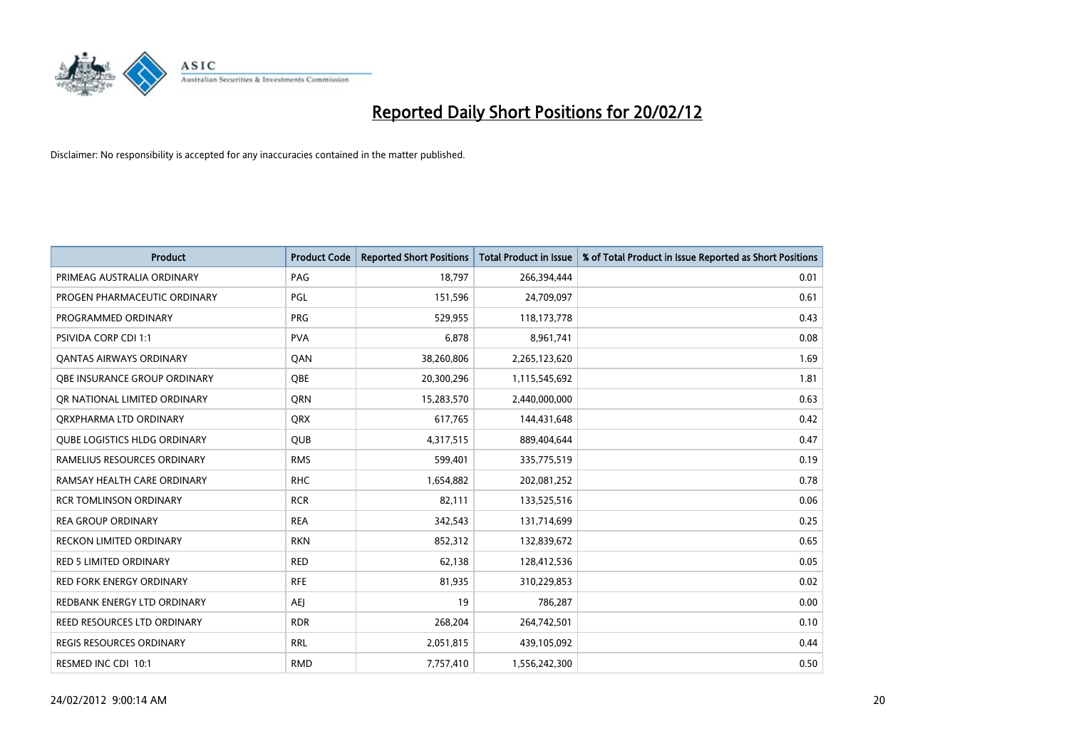

| <b>Product</b>                      | <b>Product Code</b> | <b>Reported Short Positions</b> | <b>Total Product in Issue</b> | % of Total Product in Issue Reported as Short Positions |
|-------------------------------------|---------------------|---------------------------------|-------------------------------|---------------------------------------------------------|
| PRIMEAG AUSTRALIA ORDINARY          | PAG                 | 18,797                          | 266,394,444                   | 0.01                                                    |
| PROGEN PHARMACEUTIC ORDINARY        | PGL                 | 151,596                         | 24,709,097                    | 0.61                                                    |
| PROGRAMMED ORDINARY                 | <b>PRG</b>          | 529,955                         | 118,173,778                   | 0.43                                                    |
| <b>PSIVIDA CORP CDI 1:1</b>         | <b>PVA</b>          | 6,878                           | 8,961,741                     | 0.08                                                    |
| <b>QANTAS AIRWAYS ORDINARY</b>      | QAN                 | 38,260,806                      | 2,265,123,620                 | 1.69                                                    |
| OBE INSURANCE GROUP ORDINARY        | <b>OBE</b>          | 20,300,296                      | 1,115,545,692                 | 1.81                                                    |
| OR NATIONAL LIMITED ORDINARY        | QRN                 | 15,283,570                      | 2,440,000,000                 | 0.63                                                    |
| ORXPHARMA LTD ORDINARY              | QRX                 | 617,765                         | 144,431,648                   | 0.42                                                    |
| <b>OUBE LOGISTICS HLDG ORDINARY</b> | <b>QUB</b>          | 4,317,515                       | 889,404,644                   | 0.47                                                    |
| RAMELIUS RESOURCES ORDINARY         | <b>RMS</b>          | 599,401                         | 335,775,519                   | 0.19                                                    |
| RAMSAY HEALTH CARE ORDINARY         | <b>RHC</b>          | 1,654,882                       | 202,081,252                   | 0.78                                                    |
| <b>RCR TOMLINSON ORDINARY</b>       | <b>RCR</b>          | 82,111                          | 133,525,516                   | 0.06                                                    |
| <b>REA GROUP ORDINARY</b>           | <b>REA</b>          | 342,543                         | 131,714,699                   | 0.25                                                    |
| <b>RECKON LIMITED ORDINARY</b>      | <b>RKN</b>          | 852,312                         | 132,839,672                   | 0.65                                                    |
| <b>RED 5 LIMITED ORDINARY</b>       | <b>RED</b>          | 62,138                          | 128,412,536                   | 0.05                                                    |
| <b>RED FORK ENERGY ORDINARY</b>     | <b>RFE</b>          | 81,935                          | 310,229,853                   | 0.02                                                    |
| REDBANK ENERGY LTD ORDINARY         | AEJ                 | 19                              | 786,287                       | 0.00                                                    |
| REED RESOURCES LTD ORDINARY         | <b>RDR</b>          | 268,204                         | 264,742,501                   | 0.10                                                    |
| <b>REGIS RESOURCES ORDINARY</b>     | <b>RRL</b>          | 2,051,815                       | 439,105,092                   | 0.44                                                    |
| RESMED INC CDI 10:1                 | <b>RMD</b>          | 7,757,410                       | 1,556,242,300                 | 0.50                                                    |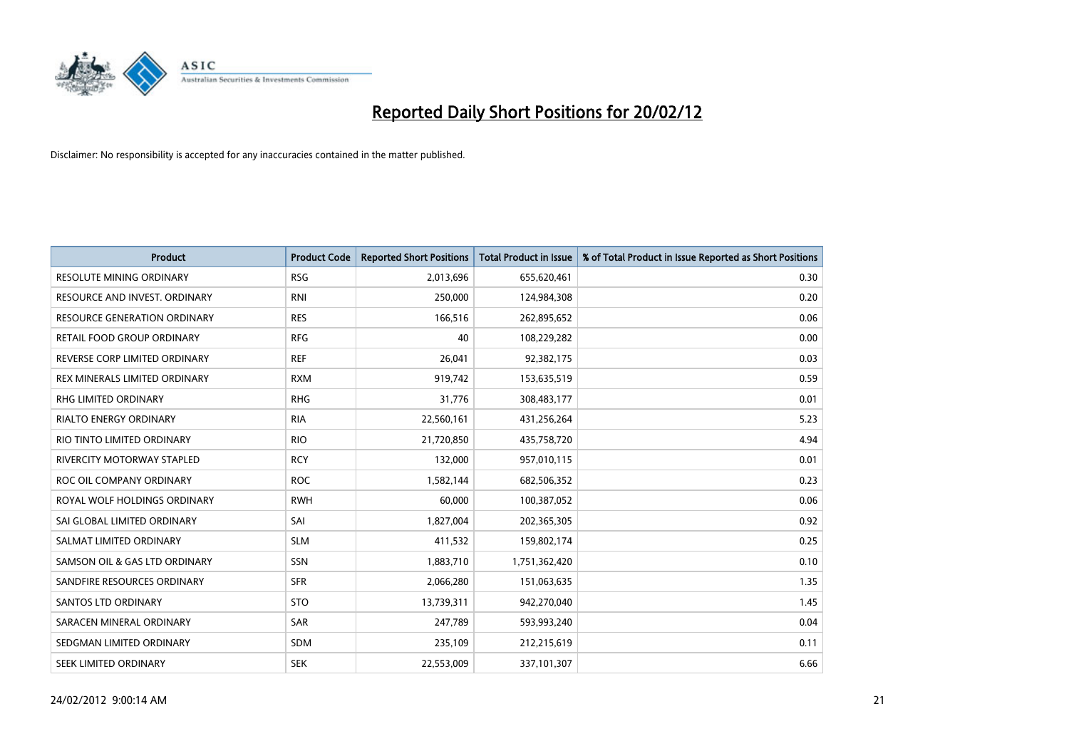

| <b>Product</b>                      | <b>Product Code</b> | <b>Reported Short Positions</b> | <b>Total Product in Issue</b> | % of Total Product in Issue Reported as Short Positions |
|-------------------------------------|---------------------|---------------------------------|-------------------------------|---------------------------------------------------------|
| <b>RESOLUTE MINING ORDINARY</b>     | <b>RSG</b>          | 2,013,696                       | 655,620,461                   | 0.30                                                    |
| RESOURCE AND INVEST. ORDINARY       | <b>RNI</b>          | 250,000                         | 124,984,308                   | 0.20                                                    |
| <b>RESOURCE GENERATION ORDINARY</b> | <b>RES</b>          | 166,516                         | 262,895,652                   | 0.06                                                    |
| RETAIL FOOD GROUP ORDINARY          | <b>RFG</b>          | 40                              | 108,229,282                   | 0.00                                                    |
| REVERSE CORP LIMITED ORDINARY       | <b>REF</b>          | 26,041                          | 92,382,175                    | 0.03                                                    |
| REX MINERALS LIMITED ORDINARY       | <b>RXM</b>          | 919,742                         | 153,635,519                   | 0.59                                                    |
| RHG LIMITED ORDINARY                | <b>RHG</b>          | 31,776                          | 308,483,177                   | 0.01                                                    |
| RIALTO ENERGY ORDINARY              | <b>RIA</b>          | 22,560,161                      | 431,256,264                   | 5.23                                                    |
| RIO TINTO LIMITED ORDINARY          | <b>RIO</b>          | 21,720,850                      | 435,758,720                   | 4.94                                                    |
| <b>RIVERCITY MOTORWAY STAPLED</b>   | <b>RCY</b>          | 132,000                         | 957,010,115                   | 0.01                                                    |
| ROC OIL COMPANY ORDINARY            | <b>ROC</b>          | 1,582,144                       | 682,506,352                   | 0.23                                                    |
| ROYAL WOLF HOLDINGS ORDINARY        | <b>RWH</b>          | 60,000                          | 100,387,052                   | 0.06                                                    |
| SAI GLOBAL LIMITED ORDINARY         | SAI                 | 1,827,004                       | 202,365,305                   | 0.92                                                    |
| SALMAT LIMITED ORDINARY             | <b>SLM</b>          | 411,532                         | 159,802,174                   | 0.25                                                    |
| SAMSON OIL & GAS LTD ORDINARY       | SSN                 | 1,883,710                       | 1,751,362,420                 | 0.10                                                    |
| SANDFIRE RESOURCES ORDINARY         | <b>SFR</b>          | 2,066,280                       | 151,063,635                   | 1.35                                                    |
| <b>SANTOS LTD ORDINARY</b>          | <b>STO</b>          | 13,739,311                      | 942,270,040                   | 1.45                                                    |
| SARACEN MINERAL ORDINARY            | <b>SAR</b>          | 247,789                         | 593,993,240                   | 0.04                                                    |
| SEDGMAN LIMITED ORDINARY            | <b>SDM</b>          | 235,109                         | 212,215,619                   | 0.11                                                    |
| SEEK LIMITED ORDINARY               | <b>SEK</b>          | 22,553,009                      | 337,101,307                   | 6.66                                                    |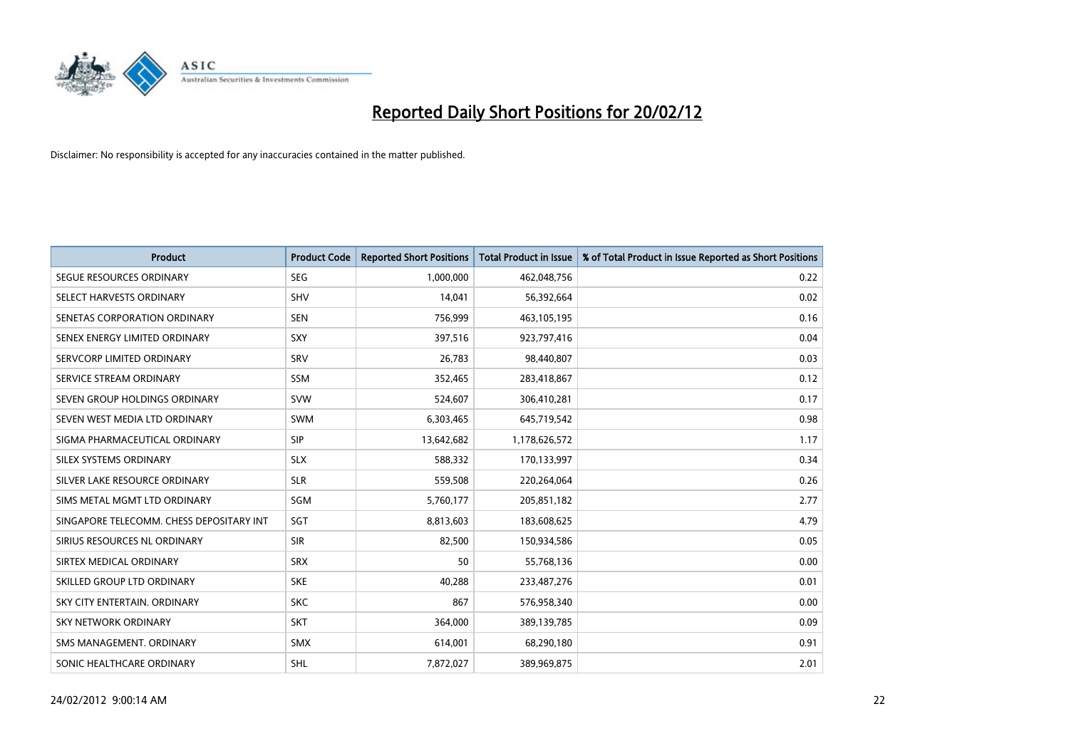

| <b>Product</b>                           | <b>Product Code</b> | <b>Reported Short Positions</b> | <b>Total Product in Issue</b> | % of Total Product in Issue Reported as Short Positions |
|------------------------------------------|---------------------|---------------------------------|-------------------------------|---------------------------------------------------------|
| SEGUE RESOURCES ORDINARY                 | <b>SEG</b>          | 1,000,000                       | 462,048,756                   | 0.22                                                    |
| SELECT HARVESTS ORDINARY                 | <b>SHV</b>          | 14,041                          | 56,392,664                    | 0.02                                                    |
| SENETAS CORPORATION ORDINARY             | <b>SEN</b>          | 756,999                         | 463,105,195                   | 0.16                                                    |
| SENEX ENERGY LIMITED ORDINARY            | <b>SXY</b>          | 397,516                         | 923,797,416                   | 0.04                                                    |
| SERVCORP LIMITED ORDINARY                | SRV                 | 26,783                          | 98,440,807                    | 0.03                                                    |
| SERVICE STREAM ORDINARY                  | <b>SSM</b>          | 352,465                         | 283,418,867                   | 0.12                                                    |
| SEVEN GROUP HOLDINGS ORDINARY            | <b>SVW</b>          | 524,607                         | 306,410,281                   | 0.17                                                    |
| SEVEN WEST MEDIA LTD ORDINARY            | <b>SWM</b>          | 6,303,465                       | 645,719,542                   | 0.98                                                    |
| SIGMA PHARMACEUTICAL ORDINARY            | <b>SIP</b>          | 13,642,682                      | 1,178,626,572                 | 1.17                                                    |
| SILEX SYSTEMS ORDINARY                   | <b>SLX</b>          | 588,332                         | 170,133,997                   | 0.34                                                    |
| SILVER LAKE RESOURCE ORDINARY            | <b>SLR</b>          | 559,508                         | 220,264,064                   | 0.26                                                    |
| SIMS METAL MGMT LTD ORDINARY             | <b>SGM</b>          | 5,760,177                       | 205,851,182                   | 2.77                                                    |
| SINGAPORE TELECOMM. CHESS DEPOSITARY INT | SGT                 | 8,813,603                       | 183,608,625                   | 4.79                                                    |
| SIRIUS RESOURCES NL ORDINARY             | <b>SIR</b>          | 82,500                          | 150,934,586                   | 0.05                                                    |
| SIRTEX MEDICAL ORDINARY                  | <b>SRX</b>          | 50                              | 55,768,136                    | 0.00                                                    |
| SKILLED GROUP LTD ORDINARY               | <b>SKE</b>          | 40,288                          | 233,487,276                   | 0.01                                                    |
| SKY CITY ENTERTAIN, ORDINARY             | <b>SKC</b>          | 867                             | 576,958,340                   | 0.00                                                    |
| SKY NETWORK ORDINARY                     | <b>SKT</b>          | 364,000                         | 389,139,785                   | 0.09                                                    |
| SMS MANAGEMENT, ORDINARY                 | <b>SMX</b>          | 614,001                         | 68,290,180                    | 0.91                                                    |
| SONIC HEALTHCARE ORDINARY                | <b>SHL</b>          | 7,872,027                       | 389,969,875                   | 2.01                                                    |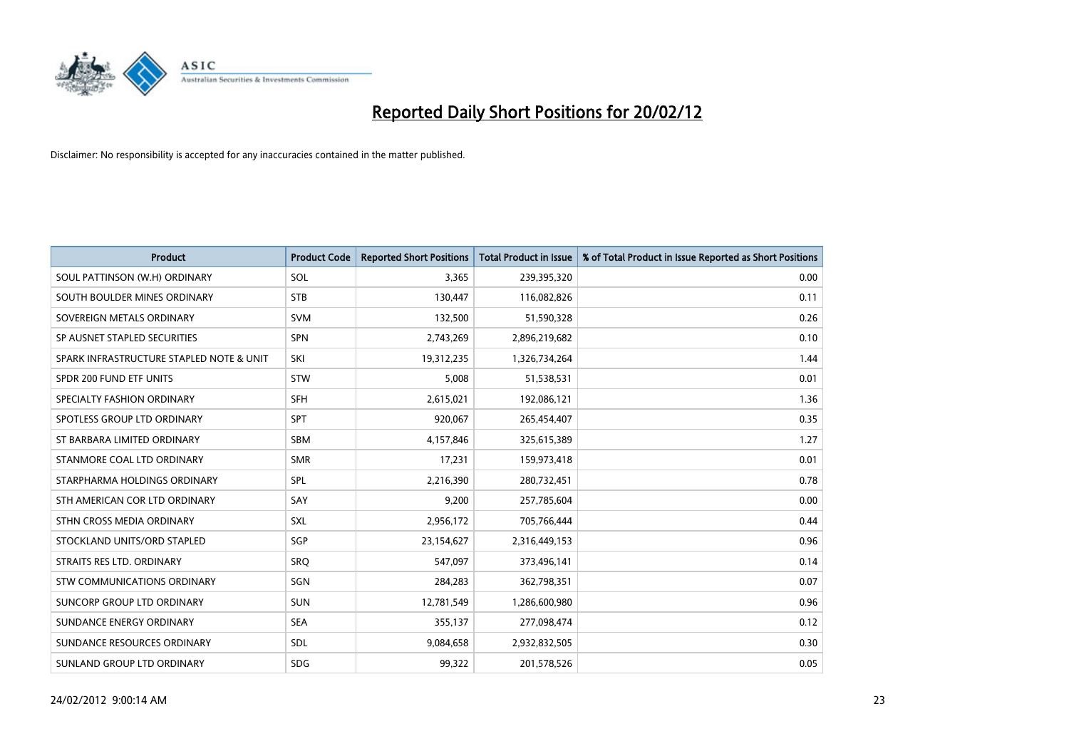

| <b>Product</b>                           | <b>Product Code</b> | <b>Reported Short Positions</b> | <b>Total Product in Issue</b> | % of Total Product in Issue Reported as Short Positions |
|------------------------------------------|---------------------|---------------------------------|-------------------------------|---------------------------------------------------------|
| SOUL PATTINSON (W.H) ORDINARY            | SOL                 | 3,365                           | 239,395,320                   | 0.00                                                    |
| SOUTH BOULDER MINES ORDINARY             | <b>STB</b>          | 130,447                         | 116,082,826                   | 0.11                                                    |
| SOVEREIGN METALS ORDINARY                | <b>SVM</b>          | 132,500                         | 51,590,328                    | 0.26                                                    |
| SP AUSNET STAPLED SECURITIES             | <b>SPN</b>          | 2,743,269                       | 2,896,219,682                 | 0.10                                                    |
| SPARK INFRASTRUCTURE STAPLED NOTE & UNIT | <b>SKI</b>          | 19,312,235                      | 1,326,734,264                 | 1.44                                                    |
| SPDR 200 FUND ETF UNITS                  | <b>STW</b>          | 5,008                           | 51,538,531                    | 0.01                                                    |
| SPECIALTY FASHION ORDINARY               | <b>SFH</b>          | 2,615,021                       | 192,086,121                   | 1.36                                                    |
| SPOTLESS GROUP LTD ORDINARY              | <b>SPT</b>          | 920,067                         | 265,454,407                   | 0.35                                                    |
| ST BARBARA LIMITED ORDINARY              | <b>SBM</b>          | 4,157,846                       | 325,615,389                   | 1.27                                                    |
| STANMORE COAL LTD ORDINARY               | <b>SMR</b>          | 17,231                          | 159,973,418                   | 0.01                                                    |
| STARPHARMA HOLDINGS ORDINARY             | <b>SPL</b>          | 2,216,390                       | 280,732,451                   | 0.78                                                    |
| STH AMERICAN COR LTD ORDINARY            | SAY                 | 9,200                           | 257,785,604                   | 0.00                                                    |
| STHN CROSS MEDIA ORDINARY                | SXL                 | 2,956,172                       | 705,766,444                   | 0.44                                                    |
| STOCKLAND UNITS/ORD STAPLED              | SGP                 | 23,154,627                      | 2,316,449,153                 | 0.96                                                    |
| STRAITS RES LTD. ORDINARY                | SRO                 | 547,097                         | 373,496,141                   | 0.14                                                    |
| STW COMMUNICATIONS ORDINARY              | SGN                 | 284,283                         | 362,798,351                   | 0.07                                                    |
| SUNCORP GROUP LTD ORDINARY               | <b>SUN</b>          | 12,781,549                      | 1,286,600,980                 | 0.96                                                    |
| SUNDANCE ENERGY ORDINARY                 | <b>SEA</b>          | 355,137                         | 277,098,474                   | 0.12                                                    |
| SUNDANCE RESOURCES ORDINARY              | SDL                 | 9,084,658                       | 2,932,832,505                 | 0.30                                                    |
| SUNLAND GROUP LTD ORDINARY               | <b>SDG</b>          | 99,322                          | 201,578,526                   | 0.05                                                    |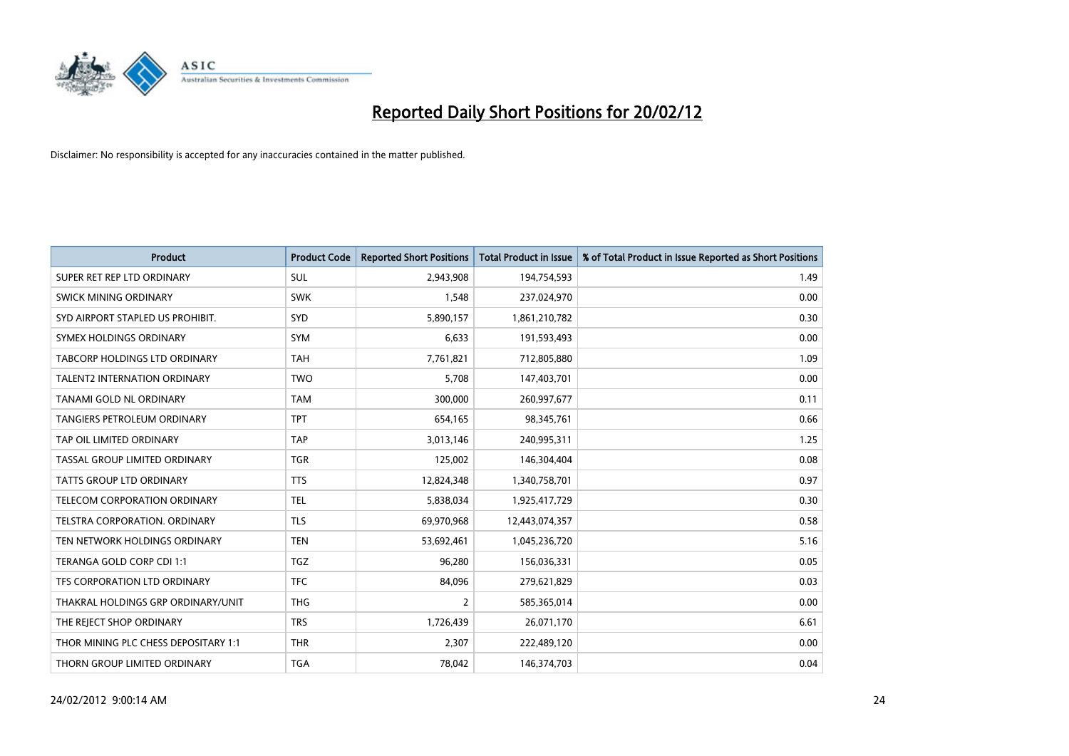

| <b>Product</b>                       | <b>Product Code</b> | <b>Reported Short Positions</b> | <b>Total Product in Issue</b> | % of Total Product in Issue Reported as Short Positions |
|--------------------------------------|---------------------|---------------------------------|-------------------------------|---------------------------------------------------------|
| SUPER RET REP LTD ORDINARY           | SUL                 | 2,943,908                       | 194,754,593                   | 1.49                                                    |
| SWICK MINING ORDINARY                | <b>SWK</b>          | 1,548                           | 237,024,970                   | 0.00                                                    |
| SYD AIRPORT STAPLED US PROHIBIT.     | <b>SYD</b>          | 5,890,157                       | 1,861,210,782                 | 0.30                                                    |
| SYMEX HOLDINGS ORDINARY              | <b>SYM</b>          | 6,633                           | 191,593,493                   | 0.00                                                    |
| <b>TABCORP HOLDINGS LTD ORDINARY</b> | <b>TAH</b>          | 7,761,821                       | 712,805,880                   | 1.09                                                    |
| <b>TALENT2 INTERNATION ORDINARY</b>  | <b>TWO</b>          | 5,708                           | 147,403,701                   | 0.00                                                    |
| TANAMI GOLD NL ORDINARY              | <b>TAM</b>          | 300,000                         | 260,997,677                   | 0.11                                                    |
| <b>TANGIERS PETROLEUM ORDINARY</b>   | <b>TPT</b>          | 654,165                         | 98,345,761                    | 0.66                                                    |
| TAP OIL LIMITED ORDINARY             | <b>TAP</b>          | 3,013,146                       | 240,995,311                   | 1.25                                                    |
| TASSAL GROUP LIMITED ORDINARY        | <b>TGR</b>          | 125,002                         | 146,304,404                   | 0.08                                                    |
| <b>TATTS GROUP LTD ORDINARY</b>      | <b>TTS</b>          | 12,824,348                      | 1,340,758,701                 | 0.97                                                    |
| <b>TELECOM CORPORATION ORDINARY</b>  | <b>TEL</b>          | 5,838,034                       | 1,925,417,729                 | 0.30                                                    |
| TELSTRA CORPORATION, ORDINARY        | <b>TLS</b>          | 69,970,968                      | 12,443,074,357                | 0.58                                                    |
| TEN NETWORK HOLDINGS ORDINARY        | <b>TEN</b>          | 53,692,461                      | 1,045,236,720                 | 5.16                                                    |
| TERANGA GOLD CORP CDI 1:1            | <b>TGZ</b>          | 96,280                          | 156,036,331                   | 0.05                                                    |
| TFS CORPORATION LTD ORDINARY         | <b>TFC</b>          | 84,096                          | 279,621,829                   | 0.03                                                    |
| THAKRAL HOLDINGS GRP ORDINARY/UNIT   | <b>THG</b>          | $\overline{2}$                  | 585,365,014                   | 0.00                                                    |
| THE REJECT SHOP ORDINARY             | <b>TRS</b>          | 1,726,439                       | 26,071,170                    | 6.61                                                    |
| THOR MINING PLC CHESS DEPOSITARY 1:1 | <b>THR</b>          | 2,307                           | 222,489,120                   | 0.00                                                    |
| THORN GROUP LIMITED ORDINARY         | <b>TGA</b>          | 78,042                          | 146,374,703                   | 0.04                                                    |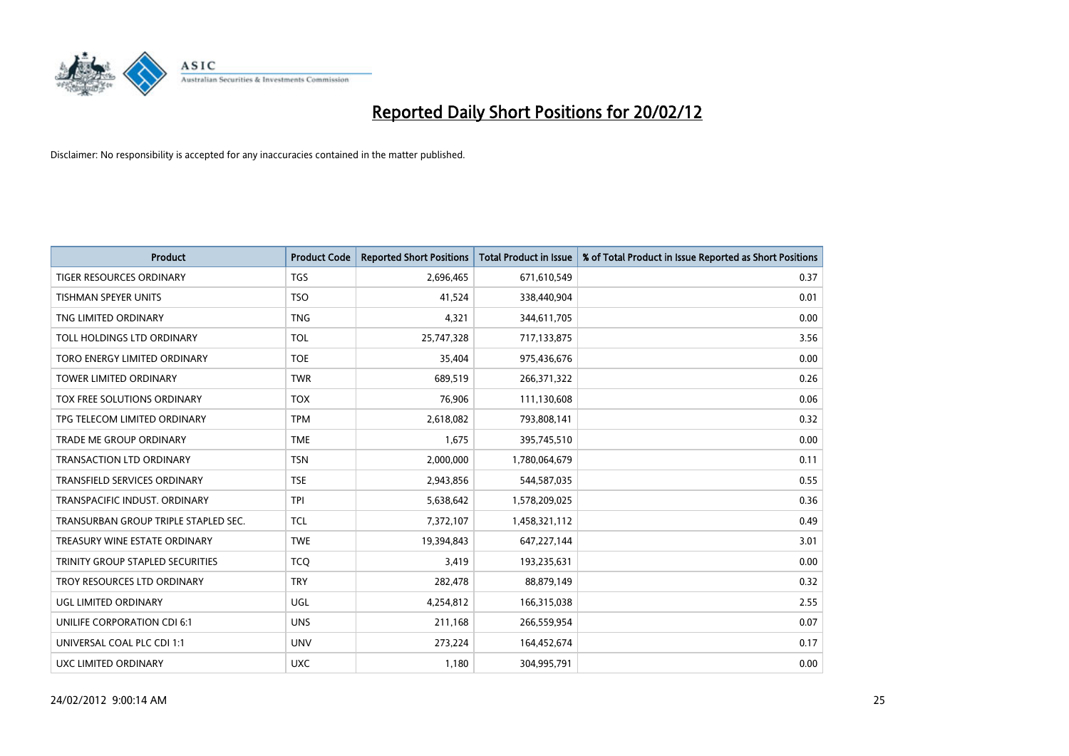

| <b>Product</b>                       | <b>Product Code</b> | <b>Reported Short Positions</b> | <b>Total Product in Issue</b> | % of Total Product in Issue Reported as Short Positions |
|--------------------------------------|---------------------|---------------------------------|-------------------------------|---------------------------------------------------------|
| <b>TIGER RESOURCES ORDINARY</b>      | <b>TGS</b>          | 2,696,465                       | 671,610,549                   | 0.37                                                    |
| TISHMAN SPEYER UNITS                 | <b>TSO</b>          | 41,524                          | 338,440,904                   | 0.01                                                    |
| TNG LIMITED ORDINARY                 | <b>TNG</b>          | 4,321                           | 344,611,705                   | 0.00                                                    |
| TOLL HOLDINGS LTD ORDINARY           | <b>TOL</b>          | 25,747,328                      | 717,133,875                   | 3.56                                                    |
| TORO ENERGY LIMITED ORDINARY         | <b>TOE</b>          | 35,404                          | 975,436,676                   | 0.00                                                    |
| <b>TOWER LIMITED ORDINARY</b>        | <b>TWR</b>          | 689,519                         | 266,371,322                   | 0.26                                                    |
| TOX FREE SOLUTIONS ORDINARY          | <b>TOX</b>          | 76,906                          | 111,130,608                   | 0.06                                                    |
| TPG TELECOM LIMITED ORDINARY         | <b>TPM</b>          | 2,618,082                       | 793,808,141                   | 0.32                                                    |
| TRADE ME GROUP ORDINARY              | <b>TME</b>          | 1,675                           | 395,745,510                   | 0.00                                                    |
| <b>TRANSACTION LTD ORDINARY</b>      | <b>TSN</b>          | 2,000,000                       | 1,780,064,679                 | 0.11                                                    |
| TRANSFIELD SERVICES ORDINARY         | <b>TSE</b>          | 2,943,856                       | 544,587,035                   | 0.55                                                    |
| TRANSPACIFIC INDUST, ORDINARY        | <b>TPI</b>          | 5,638,642                       | 1,578,209,025                 | 0.36                                                    |
| TRANSURBAN GROUP TRIPLE STAPLED SEC. | <b>TCL</b>          | 7,372,107                       | 1,458,321,112                 | 0.49                                                    |
| TREASURY WINE ESTATE ORDINARY        | <b>TWE</b>          | 19,394,843                      | 647,227,144                   | 3.01                                                    |
| TRINITY GROUP STAPLED SECURITIES     | <b>TCQ</b>          | 3,419                           | 193,235,631                   | 0.00                                                    |
| TROY RESOURCES LTD ORDINARY          | <b>TRY</b>          | 282,478                         | 88,879,149                    | 0.32                                                    |
| UGL LIMITED ORDINARY                 | UGL                 | 4,254,812                       | 166,315,038                   | 2.55                                                    |
| UNILIFE CORPORATION CDI 6:1          | <b>UNS</b>          | 211,168                         | 266,559,954                   | 0.07                                                    |
| UNIVERSAL COAL PLC CDI 1:1           | <b>UNV</b>          | 273,224                         | 164,452,674                   | 0.17                                                    |
| <b>UXC LIMITED ORDINARY</b>          | <b>UXC</b>          | 1,180                           | 304,995,791                   | 0.00                                                    |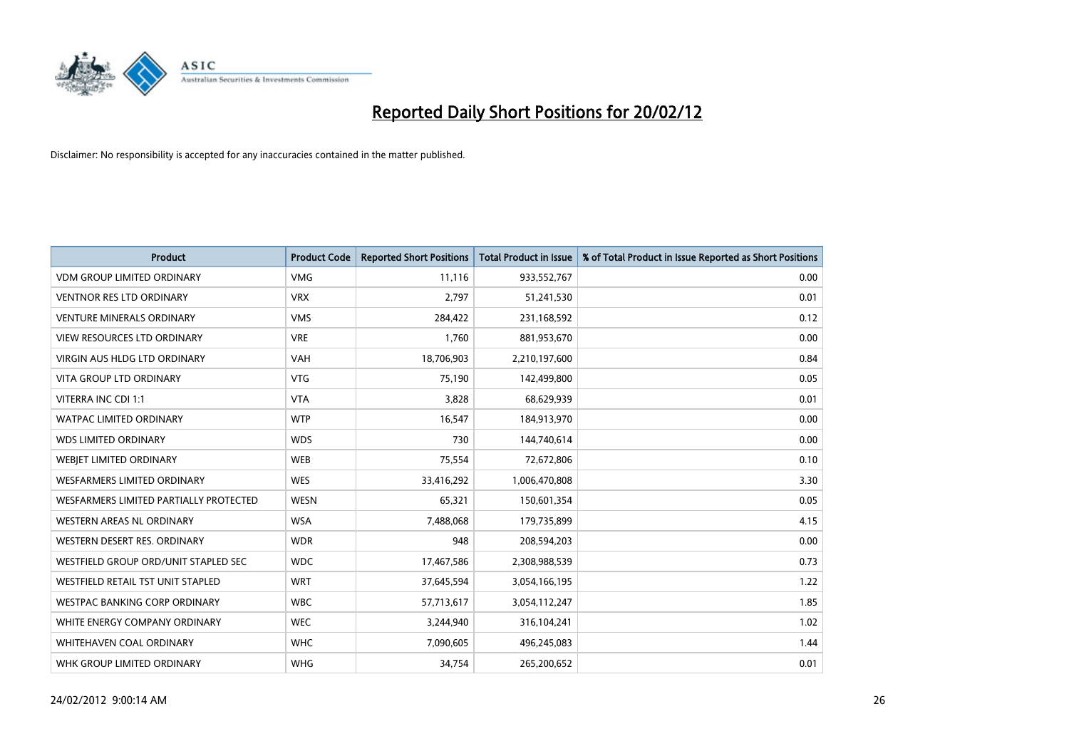

| <b>Product</b>                         | <b>Product Code</b> | <b>Reported Short Positions</b> | <b>Total Product in Issue</b> | % of Total Product in Issue Reported as Short Positions |
|----------------------------------------|---------------------|---------------------------------|-------------------------------|---------------------------------------------------------|
| <b>VDM GROUP LIMITED ORDINARY</b>      | <b>VMG</b>          | 11,116                          | 933,552,767                   | 0.00                                                    |
| <b>VENTNOR RES LTD ORDINARY</b>        | <b>VRX</b>          | 2,797                           | 51,241,530                    | 0.01                                                    |
| <b>VENTURE MINERALS ORDINARY</b>       | <b>VMS</b>          | 284,422                         | 231,168,592                   | 0.12                                                    |
| <b>VIEW RESOURCES LTD ORDINARY</b>     | <b>VRE</b>          | 1,760                           | 881,953,670                   | 0.00                                                    |
| <b>VIRGIN AUS HLDG LTD ORDINARY</b>    | <b>VAH</b>          | 18,706,903                      | 2,210,197,600                 | 0.84                                                    |
| <b>VITA GROUP LTD ORDINARY</b>         | <b>VTG</b>          | 75,190                          | 142,499,800                   | 0.05                                                    |
| VITERRA INC CDI 1:1                    | <b>VTA</b>          | 3,828                           | 68,629,939                    | 0.01                                                    |
| <b>WATPAC LIMITED ORDINARY</b>         | <b>WTP</b>          | 16,547                          | 184,913,970                   | 0.00                                                    |
| <b>WDS LIMITED ORDINARY</b>            | <b>WDS</b>          | 730                             | 144,740,614                   | 0.00                                                    |
| WEBIET LIMITED ORDINARY                | <b>WEB</b>          | 75,554                          | 72,672,806                    | 0.10                                                    |
| WESFARMERS LIMITED ORDINARY            | <b>WES</b>          | 33,416,292                      | 1,006,470,808                 | 3.30                                                    |
| WESFARMERS LIMITED PARTIALLY PROTECTED | <b>WESN</b>         | 65,321                          | 150,601,354                   | 0.05                                                    |
| WESTERN AREAS NL ORDINARY              | <b>WSA</b>          | 7,488,068                       | 179,735,899                   | 4.15                                                    |
| WESTERN DESERT RES. ORDINARY           | <b>WDR</b>          | 948                             | 208,594,203                   | 0.00                                                    |
| WESTFIELD GROUP ORD/UNIT STAPLED SEC   | <b>WDC</b>          | 17,467,586                      | 2,308,988,539                 | 0.73                                                    |
| WESTFIELD RETAIL TST UNIT STAPLED      | <b>WRT</b>          | 37,645,594                      | 3,054,166,195                 | 1.22                                                    |
| <b>WESTPAC BANKING CORP ORDINARY</b>   | <b>WBC</b>          | 57,713,617                      | 3,054,112,247                 | 1.85                                                    |
| WHITE ENERGY COMPANY ORDINARY          | <b>WEC</b>          | 3,244,940                       | 316,104,241                   | 1.02                                                    |
| WHITEHAVEN COAL ORDINARY               | <b>WHC</b>          | 7,090,605                       | 496,245,083                   | 1.44                                                    |
| WHK GROUP LIMITED ORDINARY             | <b>WHG</b>          | 34,754                          | 265,200,652                   | 0.01                                                    |